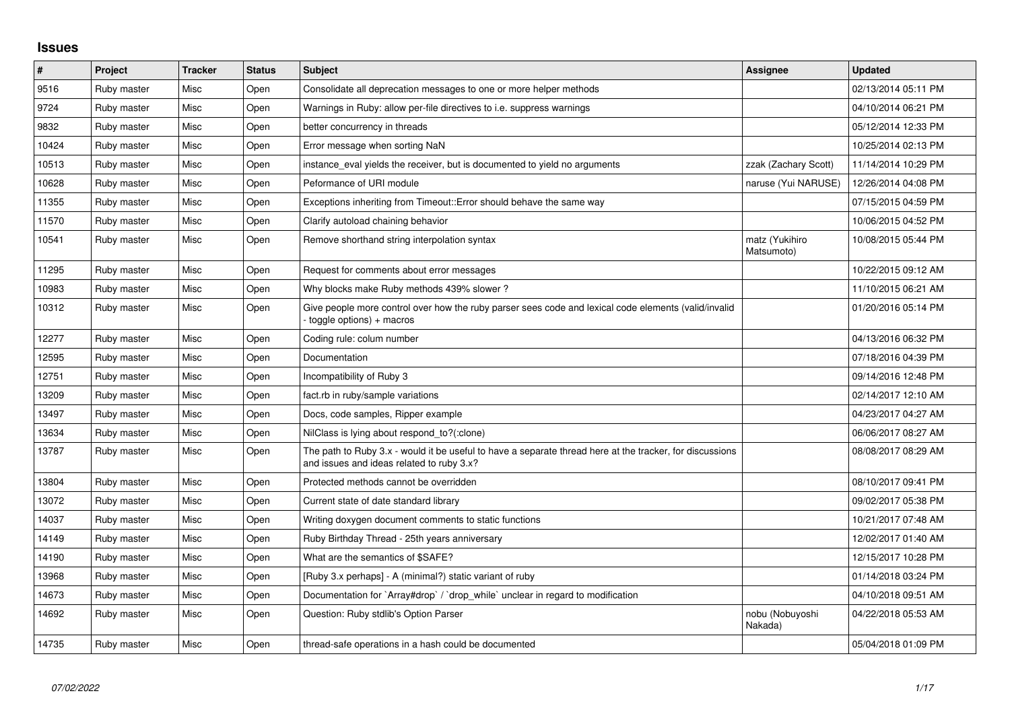## **Issues**

| $\vert$ # | Project     | <b>Tracker</b> | <b>Status</b> | <b>Subject</b>                                                                                                                                        | <b>Assignee</b>              | <b>Updated</b>      |
|-----------|-------------|----------------|---------------|-------------------------------------------------------------------------------------------------------------------------------------------------------|------------------------------|---------------------|
| 9516      | Ruby master | Misc           | Open          | Consolidate all deprecation messages to one or more helper methods                                                                                    |                              | 02/13/2014 05:11 PM |
| 9724      | Ruby master | Misc           | Open          | Warnings in Ruby: allow per-file directives to i.e. suppress warnings                                                                                 |                              | 04/10/2014 06:21 PM |
| 9832      | Ruby master | Misc           | Open          | better concurrency in threads                                                                                                                         |                              | 05/12/2014 12:33 PM |
| 10424     | Ruby master | Misc           | Open          | Error message when sorting NaN                                                                                                                        |                              | 10/25/2014 02:13 PM |
| 10513     | Ruby master | Misc           | Open          | instance eval yields the receiver, but is documented to yield no arguments                                                                            | zzak (Zachary Scott)         | 11/14/2014 10:29 PM |
| 10628     | Ruby master | Misc           | Open          | Peformance of URI module                                                                                                                              | naruse (Yui NARUSE)          | 12/26/2014 04:08 PM |
| 11355     | Ruby master | Misc           | Open          | Exceptions inheriting from Timeout:: Error should behave the same way                                                                                 |                              | 07/15/2015 04:59 PM |
| 11570     | Ruby master | Misc           | Open          | Clarify autoload chaining behavior                                                                                                                    |                              | 10/06/2015 04:52 PM |
| 10541     | Ruby master | Misc           | Open          | Remove shorthand string interpolation syntax                                                                                                          | matz (Yukihiro<br>Matsumoto) | 10/08/2015 05:44 PM |
| 11295     | Ruby master | Misc           | Open          | Request for comments about error messages                                                                                                             |                              | 10/22/2015 09:12 AM |
| 10983     | Ruby master | Misc           | Open          | Why blocks make Ruby methods 439% slower?                                                                                                             |                              | 11/10/2015 06:21 AM |
| 10312     | Ruby master | Misc           | Open          | Give people more control over how the ruby parser sees code and lexical code elements (valid/invalid<br>toggle options) + macros                      |                              | 01/20/2016 05:14 PM |
| 12277     | Ruby master | Misc           | Open          | Coding rule: colum number                                                                                                                             |                              | 04/13/2016 06:32 PM |
| 12595     | Ruby master | Misc           | Open          | Documentation                                                                                                                                         |                              | 07/18/2016 04:39 PM |
| 12751     | Ruby master | Misc           | Open          | Incompatibility of Ruby 3                                                                                                                             |                              | 09/14/2016 12:48 PM |
| 13209     | Ruby master | Misc           | Open          | fact.rb in ruby/sample variations                                                                                                                     |                              | 02/14/2017 12:10 AM |
| 13497     | Ruby master | Misc           | Open          | Docs, code samples, Ripper example                                                                                                                    |                              | 04/23/2017 04:27 AM |
| 13634     | Ruby master | Misc           | Open          | NilClass is lying about respond to?(:clone)                                                                                                           |                              | 06/06/2017 08:27 AM |
| 13787     | Ruby master | Misc           | Open          | The path to Ruby 3.x - would it be useful to have a separate thread here at the tracker, for discussions<br>and issues and ideas related to ruby 3.x? |                              | 08/08/2017 08:29 AM |
| 13804     | Ruby master | Misc           | Open          | Protected methods cannot be overridden                                                                                                                |                              | 08/10/2017 09:41 PM |
| 13072     | Ruby master | Misc           | Open          | Current state of date standard library                                                                                                                |                              | 09/02/2017 05:38 PM |
| 14037     | Ruby master | Misc           | Open          | Writing doxygen document comments to static functions                                                                                                 |                              | 10/21/2017 07:48 AM |
| 14149     | Ruby master | Misc           | Open          | Ruby Birthday Thread - 25th years anniversary                                                                                                         |                              | 12/02/2017 01:40 AM |
| 14190     | Ruby master | Misc           | Open          | What are the semantics of \$SAFE?                                                                                                                     |                              | 12/15/2017 10:28 PM |
| 13968     | Ruby master | Misc           | Open          | [Ruby 3.x perhaps] - A (minimal?) static variant of ruby                                                                                              |                              | 01/14/2018 03:24 PM |
| 14673     | Ruby master | Misc           | Open          | Documentation for `Array#drop` / `drop while` unclear in regard to modification                                                                       |                              | 04/10/2018 09:51 AM |
| 14692     | Ruby master | Misc           | Open          | Question: Ruby stdlib's Option Parser                                                                                                                 | nobu (Nobuyoshi<br>Nakada)   | 04/22/2018 05:53 AM |
| 14735     | Ruby master | Misc           | Open          | thread-safe operations in a hash could be documented                                                                                                  |                              | 05/04/2018 01:09 PM |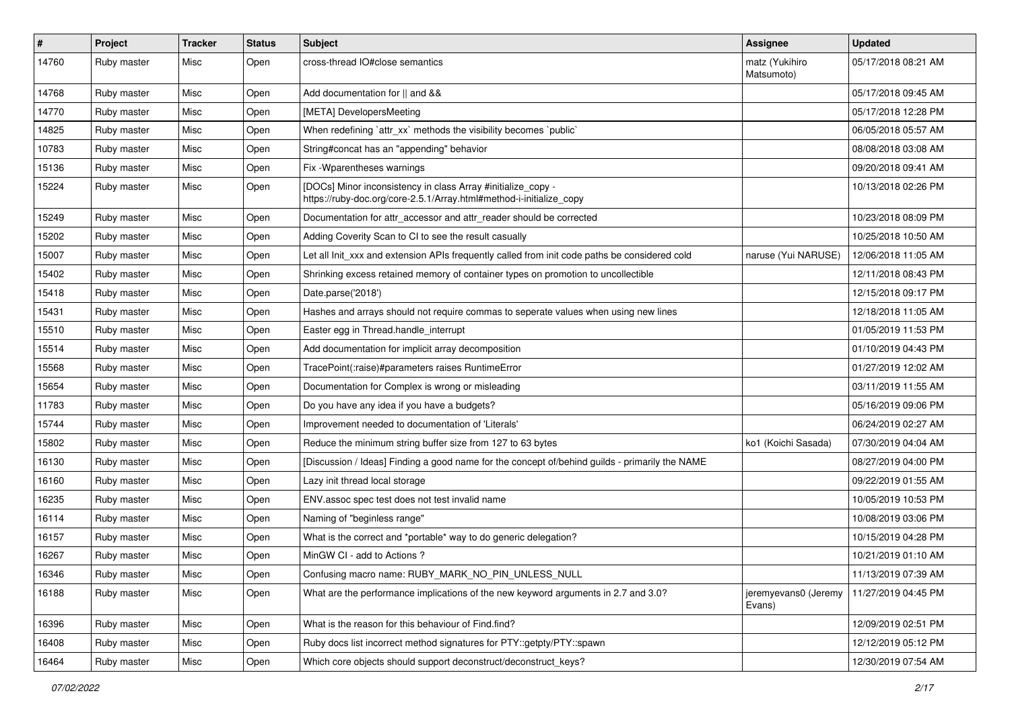| $\pmb{\#}$ | Project     | <b>Tracker</b> | <b>Status</b> | <b>Subject</b>                                                                                                                      | Assignee                       | <b>Updated</b>      |
|------------|-------------|----------------|---------------|-------------------------------------------------------------------------------------------------------------------------------------|--------------------------------|---------------------|
| 14760      | Ruby master | Misc           | Open          | cross-thread IO#close semantics                                                                                                     | matz (Yukihiro<br>Matsumoto)   | 05/17/2018 08:21 AM |
| 14768      | Ruby master | Misc           | Open          | Add documentation for    and &&                                                                                                     |                                | 05/17/2018 09:45 AM |
| 14770      | Ruby master | Misc           | Open          | [META] DevelopersMeeting                                                                                                            |                                | 05/17/2018 12:28 PM |
| 14825      | Ruby master | Misc           | Open          | When redefining 'attr_xx' methods the visibility becomes 'public'                                                                   |                                | 06/05/2018 05:57 AM |
| 10783      | Ruby master | Misc           | Open          | String#concat has an "appending" behavior                                                                                           |                                | 08/08/2018 03:08 AM |
| 15136      | Ruby master | Misc           | Open          | Fix - Wparentheses warnings                                                                                                         |                                | 09/20/2018 09:41 AM |
| 15224      | Ruby master | Misc           | Open          | [DOCs] Minor inconsistency in class Array #initialize_copy -<br>https://ruby-doc.org/core-2.5.1/Array.html#method-i-initialize_copy |                                | 10/13/2018 02:26 PM |
| 15249      | Ruby master | Misc           | Open          | Documentation for attr_accessor and attr_reader should be corrected                                                                 |                                | 10/23/2018 08:09 PM |
| 15202      | Ruby master | Misc           | Open          | Adding Coverity Scan to CI to see the result casually                                                                               |                                | 10/25/2018 10:50 AM |
| 15007      | Ruby master | Misc           | Open          | Let all Init_xxx and extension APIs frequently called from init code paths be considered cold                                       | naruse (Yui NARUSE)            | 12/06/2018 11:05 AM |
| 15402      | Ruby master | Misc           | Open          | Shrinking excess retained memory of container types on promotion to uncollectible                                                   |                                | 12/11/2018 08:43 PM |
| 15418      | Ruby master | Misc           | Open          | Date.parse('2018')                                                                                                                  |                                | 12/15/2018 09:17 PM |
| 15431      | Ruby master | Misc           | Open          | Hashes and arrays should not require commas to seperate values when using new lines                                                 |                                | 12/18/2018 11:05 AM |
| 15510      | Ruby master | Misc           | Open          | Easter egg in Thread.handle_interrupt                                                                                               |                                | 01/05/2019 11:53 PM |
| 15514      | Ruby master | Misc           | Open          | Add documentation for implicit array decomposition                                                                                  |                                | 01/10/2019 04:43 PM |
| 15568      | Ruby master | Misc           | Open          | TracePoint(:raise)#parameters raises RuntimeError                                                                                   |                                | 01/27/2019 12:02 AM |
| 15654      | Ruby master | Misc           | Open          | Documentation for Complex is wrong or misleading                                                                                    |                                | 03/11/2019 11:55 AM |
| 11783      | Ruby master | Misc           | Open          | Do you have any idea if you have a budgets?                                                                                         |                                | 05/16/2019 09:06 PM |
| 15744      | Ruby master | Misc           | Open          | Improvement needed to documentation of 'Literals'                                                                                   |                                | 06/24/2019 02:27 AM |
| 15802      | Ruby master | Misc           | Open          | Reduce the minimum string buffer size from 127 to 63 bytes                                                                          | ko1 (Koichi Sasada)            | 07/30/2019 04:04 AM |
| 16130      | Ruby master | Misc           | Open          | [Discussion / Ideas] Finding a good name for the concept of/behind guilds - primarily the NAME                                      |                                | 08/27/2019 04:00 PM |
| 16160      | Ruby master | Misc           | Open          | Lazy init thread local storage                                                                                                      |                                | 09/22/2019 01:55 AM |
| 16235      | Ruby master | Misc           | Open          | ENV assoc spec test does not test invalid name                                                                                      |                                | 10/05/2019 10:53 PM |
| 16114      | Ruby master | Misc           | Open          | Naming of "beginless range"                                                                                                         |                                | 10/08/2019 03:06 PM |
| 16157      | Ruby master | Misc           | Open          | What is the correct and *portable* way to do generic delegation?                                                                    |                                | 10/15/2019 04:28 PM |
| 16267      | Ruby master | Misc           | Open          | MinGW CI - add to Actions ?                                                                                                         |                                | 10/21/2019 01:10 AM |
| 16346      | Ruby master | Misc           | Open          | Confusing macro name: RUBY_MARK_NO_PIN_UNLESS_NULL                                                                                  |                                | 11/13/2019 07:39 AM |
| 16188      | Ruby master | Misc           | Open          | What are the performance implications of the new keyword arguments in 2.7 and 3.0?                                                  | jeremyevans0 (Jeremy<br>Evans) | 11/27/2019 04:45 PM |
| 16396      | Ruby master | Misc           | Open          | What is the reason for this behaviour of Find.find?                                                                                 |                                | 12/09/2019 02:51 PM |
| 16408      | Ruby master | Misc           | Open          | Ruby docs list incorrect method signatures for PTY::getpty/PTY::spawn                                                               |                                | 12/12/2019 05:12 PM |
| 16464      | Ruby master | Misc           | Open          | Which core objects should support deconstruct/deconstruct keys?                                                                     |                                | 12/30/2019 07:54 AM |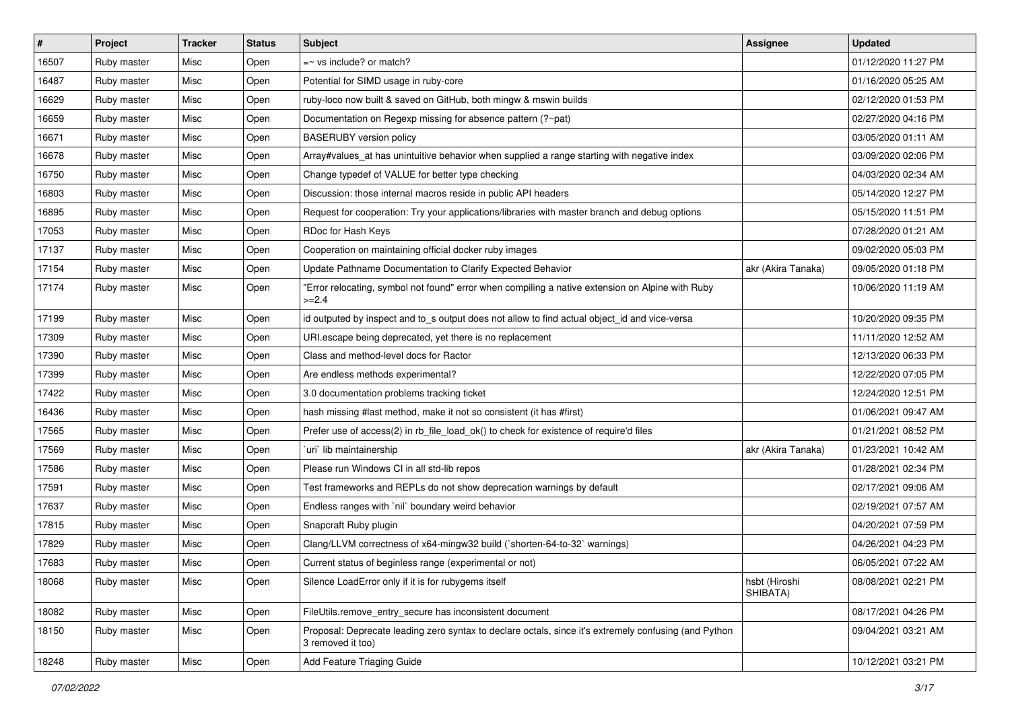| #     | Project     | <b>Tracker</b> | <b>Status</b> | Subject                                                                                                                    | <b>Assignee</b>           | <b>Updated</b>      |
|-------|-------------|----------------|---------------|----------------------------------------------------------------------------------------------------------------------------|---------------------------|---------------------|
| 16507 | Ruby master | Misc           | Open          | $=$ vs include? or match?                                                                                                  |                           | 01/12/2020 11:27 PM |
| 16487 | Ruby master | Misc           | Open          | Potential for SIMD usage in ruby-core                                                                                      |                           | 01/16/2020 05:25 AM |
| 16629 | Ruby master | Misc           | Open          | ruby-loco now built & saved on GitHub, both mingw & mswin builds                                                           |                           | 02/12/2020 01:53 PM |
| 16659 | Ruby master | Misc           | Open          | Documentation on Regexp missing for absence pattern (?~pat)                                                                |                           | 02/27/2020 04:16 PM |
| 16671 | Ruby master | Misc           | Open          | <b>BASERUBY</b> version policy                                                                                             |                           | 03/05/2020 01:11 AM |
| 16678 | Ruby master | Misc           | Open          | Array#values_at has unintuitive behavior when supplied a range starting with negative index                                |                           | 03/09/2020 02:06 PM |
| 16750 | Ruby master | Misc           | Open          | Change typedef of VALUE for better type checking                                                                           |                           | 04/03/2020 02:34 AM |
| 16803 | Ruby master | Misc           | Open          | Discussion: those internal macros reside in public API headers                                                             |                           | 05/14/2020 12:27 PM |
| 16895 | Ruby master | Misc           | Open          | Request for cooperation: Try your applications/libraries with master branch and debug options                              |                           | 05/15/2020 11:51 PM |
| 17053 | Ruby master | Misc           | Open          | RDoc for Hash Keys                                                                                                         |                           | 07/28/2020 01:21 AM |
| 17137 | Ruby master | Misc           | Open          | Cooperation on maintaining official docker ruby images                                                                     |                           | 09/02/2020 05:03 PM |
| 17154 | Ruby master | Misc           | Open          | Update Pathname Documentation to Clarify Expected Behavior                                                                 | akr (Akira Tanaka)        | 09/05/2020 01:18 PM |
| 17174 | Ruby master | Misc           | Open          | "Error relocating, symbol not found" error when compiling a native extension on Alpine with Ruby<br>$>=2.4$                |                           | 10/06/2020 11:19 AM |
| 17199 | Ruby master | Misc           | Open          | id outputed by inspect and to_s output does not allow to find actual object_id and vice-versa                              |                           | 10/20/2020 09:35 PM |
| 17309 | Ruby master | Misc           | Open          | URI escape being deprecated, yet there is no replacement                                                                   |                           | 11/11/2020 12:52 AM |
| 17390 | Ruby master | Misc           | Open          | Class and method-level docs for Ractor                                                                                     |                           | 12/13/2020 06:33 PM |
| 17399 | Ruby master | Misc           | Open          | Are endless methods experimental?                                                                                          |                           | 12/22/2020 07:05 PM |
| 17422 | Ruby master | Misc           | Open          | 3.0 documentation problems tracking ticket                                                                                 |                           | 12/24/2020 12:51 PM |
| 16436 | Ruby master | Misc           | Open          | hash missing #last method, make it not so consistent (it has #first)                                                       |                           | 01/06/2021 09:47 AM |
| 17565 | Ruby master | Misc           | Open          | Prefer use of access(2) in rb_file_load_ok() to check for existence of require'd files                                     |                           | 01/21/2021 08:52 PM |
| 17569 | Ruby master | Misc           | Open          | uri lib maintainership                                                                                                     | akr (Akira Tanaka)        | 01/23/2021 10:42 AM |
| 17586 | Ruby master | Misc           | Open          | Please run Windows CI in all std-lib repos                                                                                 |                           | 01/28/2021 02:34 PM |
| 17591 | Ruby master | Misc           | Open          | Test frameworks and REPLs do not show deprecation warnings by default                                                      |                           | 02/17/2021 09:06 AM |
| 17637 | Ruby master | Misc           | Open          | Endless ranges with 'nil' boundary weird behavior                                                                          |                           | 02/19/2021 07:57 AM |
| 17815 | Ruby master | Misc           | Open          | Snapcraft Ruby plugin                                                                                                      |                           | 04/20/2021 07:59 PM |
| 17829 | Ruby master | Misc           | Open          | Clang/LLVM correctness of x64-mingw32 build (`shorten-64-to-32` warnings)                                                  |                           | 04/26/2021 04:23 PM |
| 17683 | Ruby master | Misc           | Open          | Current status of beginless range (experimental or not)                                                                    |                           | 06/05/2021 07:22 AM |
| 18068 | Ruby master | Misc           | Open          | Silence LoadError only if it is for rubygems itself                                                                        | hsbt (Hiroshi<br>SHIBATA) | 08/08/2021 02:21 PM |
| 18082 | Ruby master | Misc           | Open          | FileUtils.remove_entry_secure has inconsistent document                                                                    |                           | 08/17/2021 04:26 PM |
| 18150 | Ruby master | Misc           | Open          | Proposal: Deprecate leading zero syntax to declare octals, since it's extremely confusing (and Python<br>3 removed it too) |                           | 09/04/2021 03:21 AM |
| 18248 | Ruby master | Misc           | Open          | Add Feature Triaging Guide                                                                                                 |                           | 10/12/2021 03:21 PM |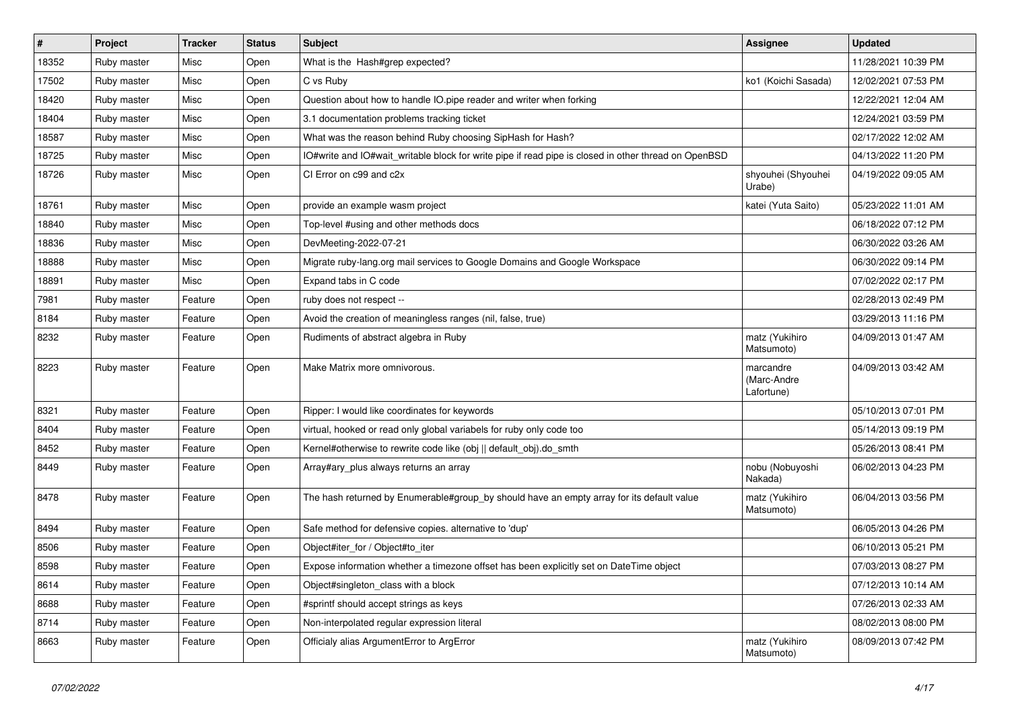| $\vert$ # | Project     | <b>Tracker</b> | <b>Status</b> | <b>Subject</b>                                                                                       | <b>Assignee</b>                        | <b>Updated</b>      |
|-----------|-------------|----------------|---------------|------------------------------------------------------------------------------------------------------|----------------------------------------|---------------------|
| 18352     | Ruby master | Misc           | Open          | What is the Hash#grep expected?                                                                      |                                        | 11/28/2021 10:39 PM |
| 17502     | Ruby master | Misc           | Open          | C vs Ruby                                                                                            | ko1 (Koichi Sasada)                    | 12/02/2021 07:53 PM |
| 18420     | Ruby master | Misc           | Open          | Question about how to handle IO.pipe reader and writer when forking                                  |                                        | 12/22/2021 12:04 AM |
| 18404     | Ruby master | Misc           | Open          | 3.1 documentation problems tracking ticket                                                           |                                        | 12/24/2021 03:59 PM |
| 18587     | Ruby master | Misc           | Open          | What was the reason behind Ruby choosing SipHash for Hash?                                           |                                        | 02/17/2022 12:02 AM |
| 18725     | Ruby master | Misc           | Open          | IO#write and IO#wait writable block for write pipe if read pipe is closed in other thread on OpenBSD |                                        | 04/13/2022 11:20 PM |
| 18726     | Ruby master | Misc           | Open          | CI Error on c99 and c2x                                                                              | shyouhei (Shyouhei<br>Urabe)           | 04/19/2022 09:05 AM |
| 18761     | Ruby master | Misc           | Open          | provide an example wasm project                                                                      | katei (Yuta Saito)                     | 05/23/2022 11:01 AM |
| 18840     | Ruby master | Misc           | Open          | Top-level #using and other methods docs                                                              |                                        | 06/18/2022 07:12 PM |
| 18836     | Ruby master | Misc           | Open          | DevMeeting-2022-07-21                                                                                |                                        | 06/30/2022 03:26 AM |
| 18888     | Ruby master | Misc           | Open          | Migrate ruby-lang.org mail services to Google Domains and Google Workspace                           |                                        | 06/30/2022 09:14 PM |
| 18891     | Ruby master | Misc           | Open          | Expand tabs in C code                                                                                |                                        | 07/02/2022 02:17 PM |
| 7981      | Ruby master | Feature        | Open          | ruby does not respect --                                                                             |                                        | 02/28/2013 02:49 PM |
| 8184      | Ruby master | Feature        | Open          | Avoid the creation of meaningless ranges (nil, false, true)                                          |                                        | 03/29/2013 11:16 PM |
| 8232      | Ruby master | Feature        | Open          | Rudiments of abstract algebra in Ruby                                                                | matz (Yukihiro<br>Matsumoto)           | 04/09/2013 01:47 AM |
| 8223      | Ruby master | Feature        | Open          | Make Matrix more omnivorous.                                                                         | marcandre<br>(Marc-Andre<br>Lafortune) | 04/09/2013 03:42 AM |
| 8321      | Ruby master | Feature        | Open          | Ripper: I would like coordinates for keywords                                                        |                                        | 05/10/2013 07:01 PM |
| 8404      | Ruby master | Feature        | Open          | virtual, hooked or read only global variabels for ruby only code too                                 |                                        | 05/14/2013 09:19 PM |
| 8452      | Ruby master | Feature        | Open          | Kernel#otherwise to rewrite code like (obj    default_obj).do_smth                                   |                                        | 05/26/2013 08:41 PM |
| 8449      | Ruby master | Feature        | Open          | Array#ary_plus always returns an array                                                               | nobu (Nobuyoshi<br>Nakada)             | 06/02/2013 04:23 PM |
| 8478      | Ruby master | Feature        | Open          | The hash returned by Enumerable#group_by should have an empty array for its default value            | matz (Yukihiro<br>Matsumoto)           | 06/04/2013 03:56 PM |
| 8494      | Ruby master | Feature        | Open          | Safe method for defensive copies. alternative to 'dup'                                               |                                        | 06/05/2013 04:26 PM |
| 8506      | Ruby master | Feature        | Open          | Object#iter for / Object#to iter                                                                     |                                        | 06/10/2013 05:21 PM |
| 8598      | Ruby master | Feature        | Open          | Expose information whether a timezone offset has been explicitly set on DateTime object              |                                        | 07/03/2013 08:27 PM |
| 8614      | Ruby master | Feature        | Open          | Object#singleton_class with a block                                                                  |                                        | 07/12/2013 10:14 AM |
| 8688      | Ruby master | Feature        | Open          | #sprintf should accept strings as keys                                                               |                                        | 07/26/2013 02:33 AM |
| 8714      | Ruby master | Feature        | Open          | Non-interpolated regular expression literal                                                          |                                        | 08/02/2013 08:00 PM |
| 8663      | Ruby master | Feature        | Open          | Officialy alias ArgumentError to ArgError                                                            | matz (Yukihiro<br>Matsumoto)           | 08/09/2013 07:42 PM |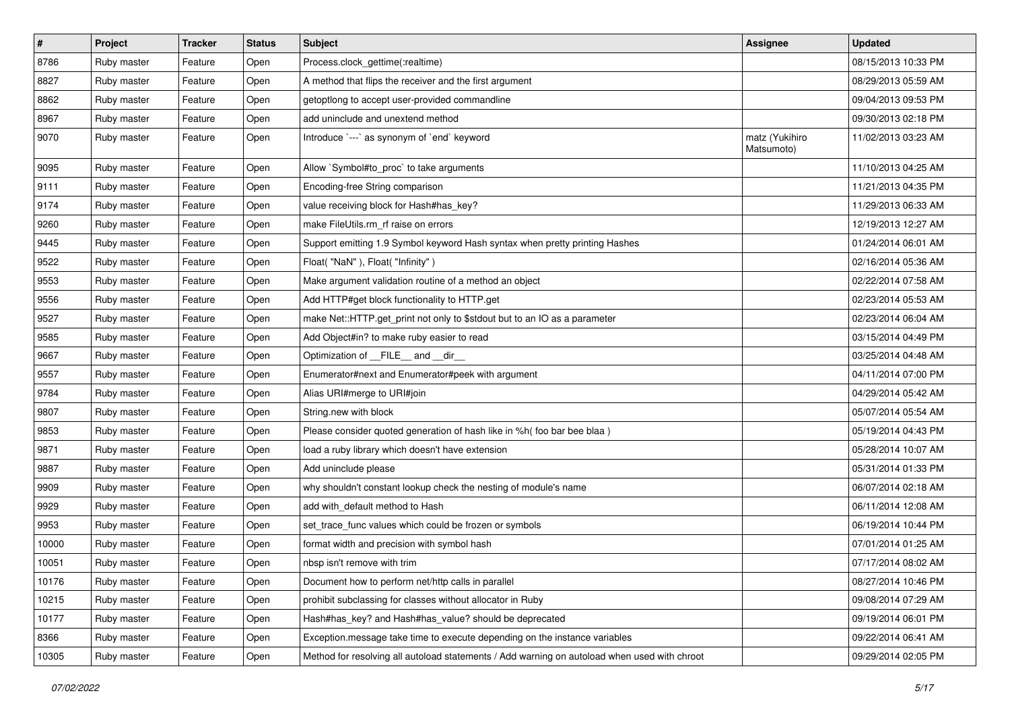| #     | Project     | <b>Tracker</b> | <b>Status</b> | Subject                                                                                      | Assignee                     | <b>Updated</b>      |
|-------|-------------|----------------|---------------|----------------------------------------------------------------------------------------------|------------------------------|---------------------|
| 8786  | Ruby master | Feature        | Open          | Process.clock_gettime(:realtime)                                                             |                              | 08/15/2013 10:33 PM |
| 8827  | Ruby master | Feature        | Open          | A method that flips the receiver and the first argument                                      |                              | 08/29/2013 05:59 AM |
| 8862  | Ruby master | Feature        | Open          | getoptlong to accept user-provided commandline                                               |                              | 09/04/2013 09:53 PM |
| 8967  | Ruby master | Feature        | Open          | add uninclude and unextend method                                                            |                              | 09/30/2013 02:18 PM |
| 9070  | Ruby master | Feature        | Open          | Introduce `---` as synonym of `end` keyword                                                  | matz (Yukihiro<br>Matsumoto) | 11/02/2013 03:23 AM |
| 9095  | Ruby master | Feature        | Open          | Allow `Symbol#to_proc` to take arguments                                                     |                              | 11/10/2013 04:25 AM |
| 9111  | Ruby master | Feature        | Open          | Encoding-free String comparison                                                              |                              | 11/21/2013 04:35 PM |
| 9174  | Ruby master | Feature        | Open          | value receiving block for Hash#has_key?                                                      |                              | 11/29/2013 06:33 AM |
| 9260  | Ruby master | Feature        | Open          | make FileUtils.rm_rf raise on errors                                                         |                              | 12/19/2013 12:27 AM |
| 9445  | Ruby master | Feature        | Open          | Support emitting 1.9 Symbol keyword Hash syntax when pretty printing Hashes                  |                              | 01/24/2014 06:01 AM |
| 9522  | Ruby master | Feature        | Open          | Float("NaN"), Float("Infinity")                                                              |                              | 02/16/2014 05:36 AM |
| 9553  | Ruby master | Feature        | Open          | Make argument validation routine of a method an object                                       |                              | 02/22/2014 07:58 AM |
| 9556  | Ruby master | Feature        | Open          | Add HTTP#get block functionality to HTTP.get                                                 |                              | 02/23/2014 05:53 AM |
| 9527  | Ruby master | Feature        | Open          | make Net::HTTP.get_print not only to \$stdout but to an IO as a parameter                    |                              | 02/23/2014 06:04 AM |
| 9585  | Ruby master | Feature        | Open          | Add Object#in? to make ruby easier to read                                                   |                              | 03/15/2014 04:49 PM |
| 9667  | Ruby master | Feature        | Open          | Optimization of FILE_and _dir                                                                |                              | 03/25/2014 04:48 AM |
| 9557  | Ruby master | Feature        | Open          | Enumerator#next and Enumerator#peek with argument                                            |                              | 04/11/2014 07:00 PM |
| 9784  | Ruby master | Feature        | Open          | Alias URI#merge to URI#join                                                                  |                              | 04/29/2014 05:42 AM |
| 9807  | Ruby master | Feature        | Open          | String.new with block                                                                        |                              | 05/07/2014 05:54 AM |
| 9853  | Ruby master | Feature        | Open          | Please consider quoted generation of hash like in %h( foo bar bee blaa)                      |                              | 05/19/2014 04:43 PM |
| 9871  | Ruby master | Feature        | Open          | load a ruby library which doesn't have extension                                             |                              | 05/28/2014 10:07 AM |
| 9887  | Ruby master | Feature        | Open          | Add uninclude please                                                                         |                              | 05/31/2014 01:33 PM |
| 9909  | Ruby master | Feature        | Open          | why shouldn't constant lookup check the nesting of module's name                             |                              | 06/07/2014 02:18 AM |
| 9929  | Ruby master | Feature        | Open          | add with_default method to Hash                                                              |                              | 06/11/2014 12:08 AM |
| 9953  | Ruby master | Feature        | Open          | set trace func values which could be frozen or symbols                                       |                              | 06/19/2014 10:44 PM |
| 10000 | Ruby master | Feature        | Open          | format width and precision with symbol hash                                                  |                              | 07/01/2014 01:25 AM |
| 10051 | Ruby master | Feature        | Open          | nbsp isn't remove with trim                                                                  |                              | 07/17/2014 08:02 AM |
| 10176 | Ruby master | Feature        | Open          | Document how to perform net/http calls in parallel                                           |                              | 08/27/2014 10:46 PM |
| 10215 | Ruby master | Feature        | Open          | prohibit subclassing for classes without allocator in Ruby                                   |                              | 09/08/2014 07:29 AM |
| 10177 | Ruby master | Feature        | Open          | Hash#has_key? and Hash#has_value? should be deprecated                                       |                              | 09/19/2014 06:01 PM |
| 8366  | Ruby master | Feature        | Open          | Exception message take time to execute depending on the instance variables                   |                              | 09/22/2014 06:41 AM |
| 10305 | Ruby master | Feature        | Open          | Method for resolving all autoload statements / Add warning on autoload when used with chroot |                              | 09/29/2014 02:05 PM |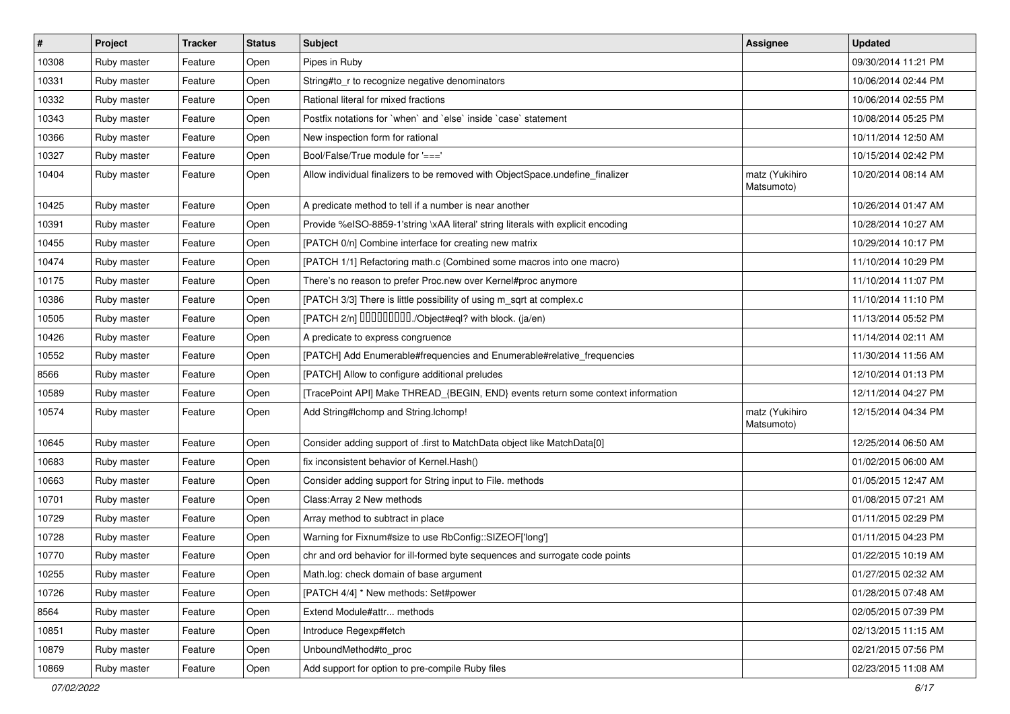| $\vert$ # | Project     | <b>Tracker</b> | <b>Status</b> | Subject                                                                          | Assignee                     | <b>Updated</b>      |
|-----------|-------------|----------------|---------------|----------------------------------------------------------------------------------|------------------------------|---------------------|
| 10308     | Ruby master | Feature        | Open          | Pipes in Ruby                                                                    |                              | 09/30/2014 11:21 PM |
| 10331     | Ruby master | Feature        | Open          | String#to_r to recognize negative denominators                                   |                              | 10/06/2014 02:44 PM |
| 10332     | Ruby master | Feature        | Open          | Rational literal for mixed fractions                                             |                              | 10/06/2014 02:55 PM |
| 10343     | Ruby master | Feature        | Open          | Postfix notations for 'when' and 'else' inside 'case' statement                  |                              | 10/08/2014 05:25 PM |
| 10366     | Ruby master | Feature        | Open          | New inspection form for rational                                                 |                              | 10/11/2014 12:50 AM |
| 10327     | Ruby master | Feature        | Open          | Bool/False/True module for '==='                                                 |                              | 10/15/2014 02:42 PM |
| 10404     | Ruby master | Feature        | Open          | Allow individual finalizers to be removed with ObjectSpace.undefine_finalizer    | matz (Yukihiro<br>Matsumoto) | 10/20/2014 08:14 AM |
| 10425     | Ruby master | Feature        | Open          | A predicate method to tell if a number is near another                           |                              | 10/26/2014 01:47 AM |
| 10391     | Ruby master | Feature        | Open          | Provide %eISO-8859-1'string \xAA literal' string literals with explicit encoding |                              | 10/28/2014 10:27 AM |
| 10455     | Ruby master | Feature        | Open          | [PATCH 0/n] Combine interface for creating new matrix                            |                              | 10/29/2014 10:17 PM |
| 10474     | Ruby master | Feature        | Open          | [PATCH 1/1] Refactoring math.c (Combined some macros into one macro)             |                              | 11/10/2014 10:29 PM |
| 10175     | Ruby master | Feature        | Open          | There's no reason to prefer Proc.new over Kernel#proc anymore                    |                              | 11/10/2014 11:07 PM |
| 10386     | Ruby master | Feature        | Open          | [PATCH 3/3] There is little possibility of using m_sqrt at complex.c             |                              | 11/10/2014 11:10 PM |
| 10505     | Ruby master | Feature        | Open          | [PATCH 2/n] DDDDDDDD./Object#eql? with block. (ja/en)                            |                              | 11/13/2014 05:52 PM |
| 10426     | Ruby master | Feature        | Open          | A predicate to express congruence                                                |                              | 11/14/2014 02:11 AM |
| 10552     | Ruby master | Feature        | Open          | [PATCH] Add Enumerable#frequencies and Enumerable#relative_frequencies           |                              | 11/30/2014 11:56 AM |
| 8566      | Ruby master | Feature        | Open          | [PATCH] Allow to configure additional preludes                                   |                              | 12/10/2014 01:13 PM |
| 10589     | Ruby master | Feature        | Open          | [TracePoint API] Make THREAD_{BEGIN, END} events return some context information |                              | 12/11/2014 04:27 PM |
| 10574     | Ruby master | Feature        | Open          | Add String#Ichomp and String.Ichomp!                                             | matz (Yukihiro<br>Matsumoto) | 12/15/2014 04:34 PM |
| 10645     | Ruby master | Feature        | Open          | Consider adding support of .first to MatchData object like MatchData[0]          |                              | 12/25/2014 06:50 AM |
| 10683     | Ruby master | Feature        | Open          | fix inconsistent behavior of Kernel.Hash()                                       |                              | 01/02/2015 06:00 AM |
| 10663     | Ruby master | Feature        | Open          | Consider adding support for String input to File. methods                        |                              | 01/05/2015 12:47 AM |
| 10701     | Ruby master | Feature        | Open          | Class: Array 2 New methods                                                       |                              | 01/08/2015 07:21 AM |
| 10729     | Ruby master | Feature        | Open          | Array method to subtract in place                                                |                              | 01/11/2015 02:29 PM |
| 10728     | Ruby master | Feature        | Open          | Warning for Fixnum#size to use RbConfig::SIZEOF['long']                          |                              | 01/11/2015 04:23 PM |
| 10770     | Ruby master | Feature        | Open          | chr and ord behavior for ill-formed byte sequences and surrogate code points     |                              | 01/22/2015 10:19 AM |
| 10255     | Ruby master | Feature        | Open          | Math.log: check domain of base argument                                          |                              | 01/27/2015 02:32 AM |
| 10726     | Ruby master | Feature        | Open          | [PATCH 4/4] * New methods: Set#power                                             |                              | 01/28/2015 07:48 AM |
| 8564      | Ruby master | Feature        | Open          | Extend Module#attr methods                                                       |                              | 02/05/2015 07:39 PM |
| 10851     | Ruby master | Feature        | Open          | Introduce Regexp#fetch                                                           |                              | 02/13/2015 11:15 AM |
| 10879     | Ruby master | Feature        | Open          | UnboundMethod#to_proc                                                            |                              | 02/21/2015 07:56 PM |
| 10869     | Ruby master | Feature        | Open          | Add support for option to pre-compile Ruby files                                 |                              | 02/23/2015 11:08 AM |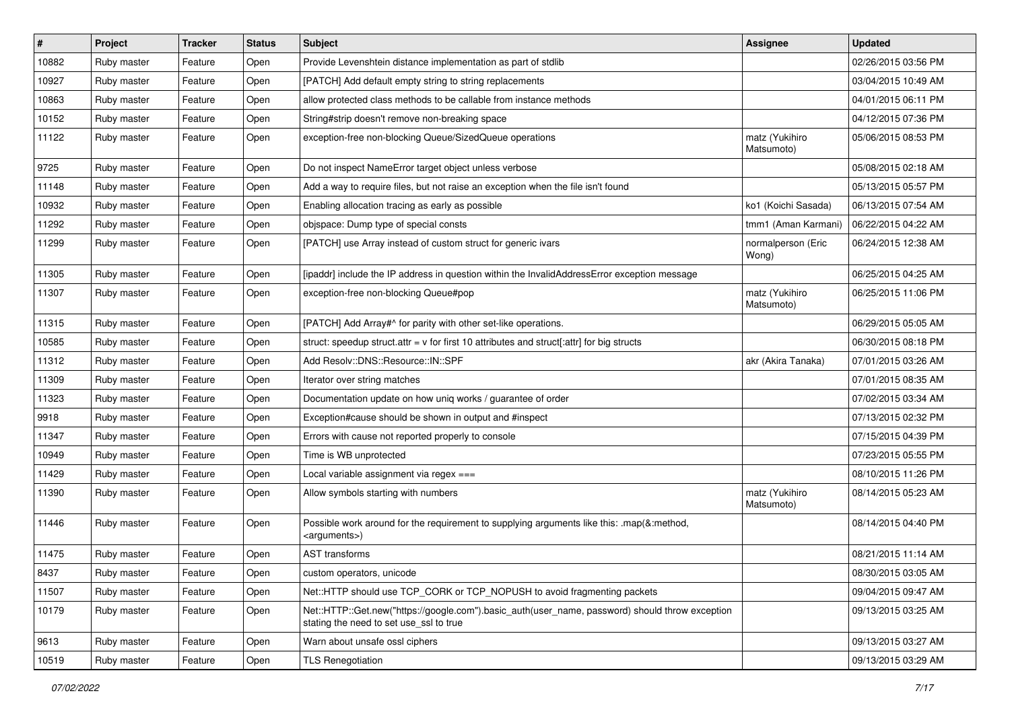| #     | Project     | <b>Tracker</b> | <b>Status</b> | Subject                                                                                                                                    | <b>Assignee</b>              | <b>Updated</b>      |
|-------|-------------|----------------|---------------|--------------------------------------------------------------------------------------------------------------------------------------------|------------------------------|---------------------|
| 10882 | Ruby master | Feature        | Open          | Provide Levenshtein distance implementation as part of stdlib                                                                              |                              | 02/26/2015 03:56 PM |
| 10927 | Ruby master | Feature        | Open          | [PATCH] Add default empty string to string replacements                                                                                    |                              | 03/04/2015 10:49 AM |
| 10863 | Ruby master | Feature        | Open          | allow protected class methods to be callable from instance methods                                                                         |                              | 04/01/2015 06:11 PM |
| 10152 | Ruby master | Feature        | Open          | String#strip doesn't remove non-breaking space                                                                                             |                              | 04/12/2015 07:36 PM |
| 11122 | Ruby master | Feature        | Open          | exception-free non-blocking Queue/SizedQueue operations                                                                                    | matz (Yukihiro<br>Matsumoto) | 05/06/2015 08:53 PM |
| 9725  | Ruby master | Feature        | Open          | Do not inspect NameError target object unless verbose                                                                                      |                              | 05/08/2015 02:18 AM |
| 11148 | Ruby master | Feature        | Open          | Add a way to require files, but not raise an exception when the file isn't found                                                           |                              | 05/13/2015 05:57 PM |
| 10932 | Ruby master | Feature        | Open          | Enabling allocation tracing as early as possible                                                                                           | ko1 (Koichi Sasada)          | 06/13/2015 07:54 AM |
| 11292 | Ruby master | Feature        | Open          | objspace: Dump type of special consts                                                                                                      | tmm1 (Aman Karmani)          | 06/22/2015 04:22 AM |
| 11299 | Ruby master | Feature        | Open          | [PATCH] use Array instead of custom struct for generic ivars                                                                               | normalperson (Eric<br>Wong)  | 06/24/2015 12:38 AM |
| 11305 | Ruby master | Feature        | Open          | [ipaddr] include the IP address in question within the InvalidAddressError exception message                                               |                              | 06/25/2015 04:25 AM |
| 11307 | Ruby master | Feature        | Open          | exception-free non-blocking Queue#pop                                                                                                      | matz (Yukihiro<br>Matsumoto) | 06/25/2015 11:06 PM |
| 11315 | Ruby master | Feature        | Open          | [PATCH] Add Array#^ for parity with other set-like operations.                                                                             |                              | 06/29/2015 05:05 AM |
| 10585 | Ruby master | Feature        | Open          | struct: speedup struct.attr = $v$ for first 10 attributes and struct[:attr] for big structs                                                |                              | 06/30/2015 08:18 PM |
| 11312 | Ruby master | Feature        | Open          | Add Resolv::DNS::Resource::IN::SPF                                                                                                         | akr (Akira Tanaka)           | 07/01/2015 03:26 AM |
| 11309 | Ruby master | Feature        | Open          | Iterator over string matches                                                                                                               |                              | 07/01/2015 08:35 AM |
| 11323 | Ruby master | Feature        | Open          | Documentation update on how uniq works / guarantee of order                                                                                |                              | 07/02/2015 03:34 AM |
| 9918  | Ruby master | Feature        | Open          | Exception#cause should be shown in output and #inspect                                                                                     |                              | 07/13/2015 02:32 PM |
| 11347 | Ruby master | Feature        | Open          | Errors with cause not reported properly to console                                                                                         |                              | 07/15/2015 04:39 PM |
| 10949 | Ruby master | Feature        | Open          | Time is WB unprotected                                                                                                                     |                              | 07/23/2015 05:55 PM |
| 11429 | Ruby master | Feature        | Open          | Local variable assignment via regex ===                                                                                                    |                              | 08/10/2015 11:26 PM |
| 11390 | Ruby master | Feature        | Open          | Allow symbols starting with numbers                                                                                                        | matz (Yukihiro<br>Matsumoto) | 08/14/2015 05:23 AM |
| 11446 | Ruby master | Feature        | Open          | Possible work around for the requirement to supplying arguments like this: .map(&:method,<br><arguments>)</arguments>                      |                              | 08/14/2015 04:40 PM |
| 11475 | Ruby master | Feature        | Open          | <b>AST</b> transforms                                                                                                                      |                              | 08/21/2015 11:14 AM |
| 8437  | Ruby master | Feature        | Open          | custom operators, unicode                                                                                                                  |                              | 08/30/2015 03:05 AM |
| 11507 | Ruby master | Feature        | Open          | Net::HTTP should use TCP_CORK or TCP_NOPUSH to avoid fragmenting packets                                                                   |                              | 09/04/2015 09:47 AM |
| 10179 | Ruby master | Feature        | Open          | Net::HTTP::Get.new("https://google.com").basic_auth(user_name, password) should throw exception<br>stating the need to set use ssl to true |                              | 09/13/2015 03:25 AM |
| 9613  | Ruby master | Feature        | Open          | Warn about unsafe ossl ciphers                                                                                                             |                              | 09/13/2015 03:27 AM |
| 10519 | Ruby master | Feature        | Open          | <b>TLS Renegotiation</b>                                                                                                                   |                              | 09/13/2015 03:29 AM |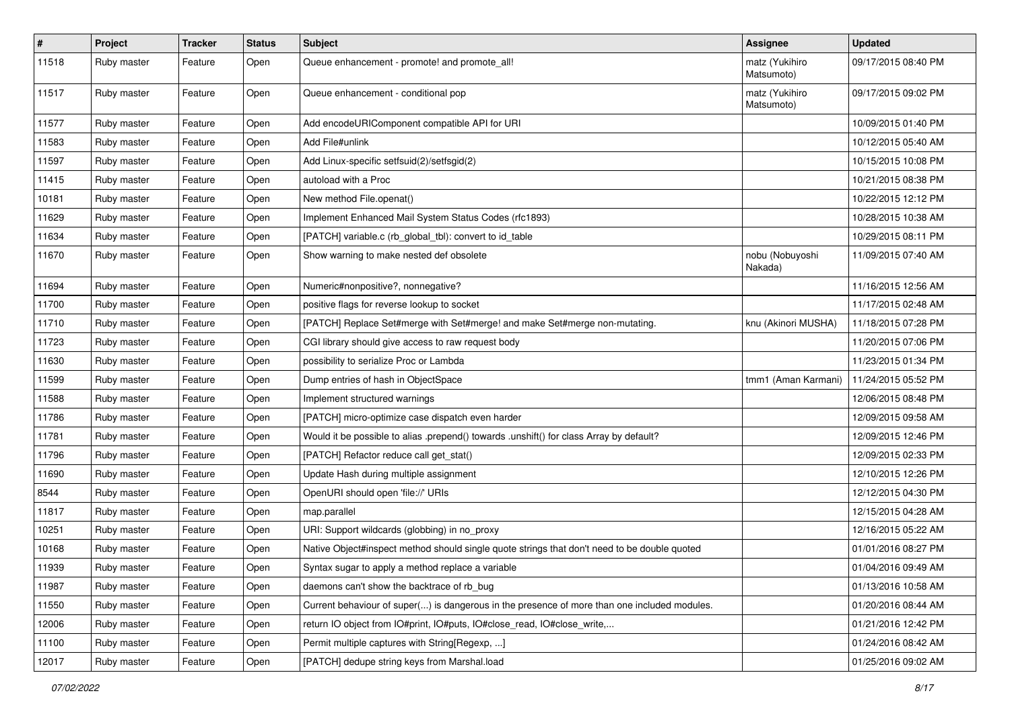| $\vert$ # | Project     | <b>Tracker</b> | <b>Status</b> | <b>Subject</b>                                                                               | Assignee                     | <b>Updated</b>      |
|-----------|-------------|----------------|---------------|----------------------------------------------------------------------------------------------|------------------------------|---------------------|
| 11518     | Ruby master | Feature        | Open          | Queue enhancement - promote! and promote_all!                                                | matz (Yukihiro<br>Matsumoto) | 09/17/2015 08:40 PM |
| 11517     | Ruby master | Feature        | Open          | Queue enhancement - conditional pop                                                          | matz (Yukihiro<br>Matsumoto) | 09/17/2015 09:02 PM |
| 11577     | Ruby master | Feature        | Open          | Add encodeURIComponent compatible API for URI                                                |                              | 10/09/2015 01:40 PM |
| 11583     | Ruby master | Feature        | Open          | Add File#unlink                                                                              |                              | 10/12/2015 05:40 AM |
| 11597     | Ruby master | Feature        | Open          | Add Linux-specific setfsuid(2)/setfsgid(2)                                                   |                              | 10/15/2015 10:08 PM |
| 11415     | Ruby master | Feature        | Open          | autoload with a Proc                                                                         |                              | 10/21/2015 08:38 PM |
| 10181     | Ruby master | Feature        | Open          | New method File.openat()                                                                     |                              | 10/22/2015 12:12 PM |
| 11629     | Ruby master | Feature        | Open          | Implement Enhanced Mail System Status Codes (rfc1893)                                        |                              | 10/28/2015 10:38 AM |
| 11634     | Ruby master | Feature        | Open          | [PATCH] variable.c (rb_global_tbl): convert to id_table                                      |                              | 10/29/2015 08:11 PM |
| 11670     | Ruby master | Feature        | Open          | Show warning to make nested def obsolete                                                     | nobu (Nobuyoshi<br>Nakada)   | 11/09/2015 07:40 AM |
| 11694     | Ruby master | Feature        | Open          | Numeric#nonpositive?, nonnegative?                                                           |                              | 11/16/2015 12:56 AM |
| 11700     | Ruby master | Feature        | Open          | positive flags for reverse lookup to socket                                                  |                              | 11/17/2015 02:48 AM |
| 11710     | Ruby master | Feature        | Open          | [PATCH] Replace Set#merge with Set#merge! and make Set#merge non-mutating.                   | knu (Akinori MUSHA)          | 11/18/2015 07:28 PM |
| 11723     | Ruby master | Feature        | Open          | CGI library should give access to raw request body                                           |                              | 11/20/2015 07:06 PM |
| 11630     | Ruby master | Feature        | Open          | possibility to serialize Proc or Lambda                                                      |                              | 11/23/2015 01:34 PM |
| 11599     | Ruby master | Feature        | Open          | Dump entries of hash in ObjectSpace                                                          | tmm1 (Aman Karmani)          | 11/24/2015 05:52 PM |
| 11588     | Ruby master | Feature        | Open          | Implement structured warnings                                                                |                              | 12/06/2015 08:48 PM |
| 11786     | Ruby master | Feature        | Open          | [PATCH] micro-optimize case dispatch even harder                                             |                              | 12/09/2015 09:58 AM |
| 11781     | Ruby master | Feature        | Open          | Would it be possible to alias .prepend() towards .unshift() for class Array by default?      |                              | 12/09/2015 12:46 PM |
| 11796     | Ruby master | Feature        | Open          | [PATCH] Refactor reduce call get_stat()                                                      |                              | 12/09/2015 02:33 PM |
| 11690     | Ruby master | Feature        | Open          | Update Hash during multiple assignment                                                       |                              | 12/10/2015 12:26 PM |
| 8544      | Ruby master | Feature        | Open          | OpenURI should open 'file://' URIs                                                           |                              | 12/12/2015 04:30 PM |
| 11817     | Ruby master | Feature        | Open          | map.parallel                                                                                 |                              | 12/15/2015 04:28 AM |
| 10251     | Ruby master | Feature        | Open          | URI: Support wildcards (globbing) in no_proxy                                                |                              | 12/16/2015 05:22 AM |
| 10168     | Ruby master | Feature        | Open          | Native Object#inspect method should single quote strings that don't need to be double quoted |                              | 01/01/2016 08:27 PM |
| 11939     | Ruby master | Feature        | Open          | Syntax sugar to apply a method replace a variable                                            |                              | 01/04/2016 09:49 AM |
| 11987     | Ruby master | Feature        | Open          | daemons can't show the backtrace of rb bug                                                   |                              | 01/13/2016 10:58 AM |
| 11550     | Ruby master | Feature        | Open          | Current behaviour of super() is dangerous in the presence of more than one included modules. |                              | 01/20/2016 08:44 AM |
| 12006     | Ruby master | Feature        | Open          | return IO object from IO#print, IO#puts, IO#close_read, IO#close_write,                      |                              | 01/21/2016 12:42 PM |
| 11100     | Ruby master | Feature        | Open          | Permit multiple captures with String[Regexp, ]                                               |                              | 01/24/2016 08:42 AM |
| 12017     | Ruby master | Feature        | Open          | [PATCH] dedupe string keys from Marshal.load                                                 |                              | 01/25/2016 09:02 AM |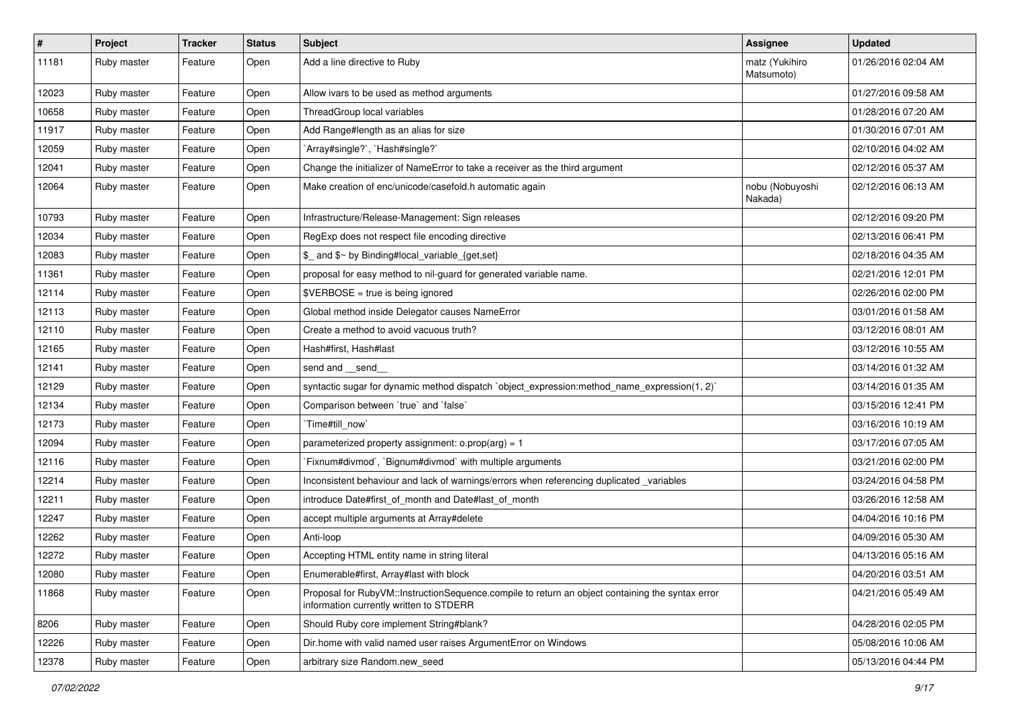| $\pmb{\#}$ | Project     | <b>Tracker</b> | <b>Status</b> | <b>Subject</b>                                                                                                                              | <b>Assignee</b>              | <b>Updated</b>      |
|------------|-------------|----------------|---------------|---------------------------------------------------------------------------------------------------------------------------------------------|------------------------------|---------------------|
| 11181      | Ruby master | Feature        | Open          | Add a line directive to Ruby                                                                                                                | matz (Yukihiro<br>Matsumoto) | 01/26/2016 02:04 AM |
| 12023      | Ruby master | Feature        | Open          | Allow ivars to be used as method arguments                                                                                                  |                              | 01/27/2016 09:58 AM |
| 10658      | Ruby master | Feature        | Open          | ThreadGroup local variables                                                                                                                 |                              | 01/28/2016 07:20 AM |
| 11917      | Ruby master | Feature        | Open          | Add Range#length as an alias for size                                                                                                       |                              | 01/30/2016 07:01 AM |
| 12059      | Ruby master | Feature        | Open          | `Array#single?`, `Hash#single?`                                                                                                             |                              | 02/10/2016 04:02 AM |
| 12041      | Ruby master | Feature        | Open          | Change the initializer of NameError to take a receiver as the third argument                                                                |                              | 02/12/2016 05:37 AM |
| 12064      | Ruby master | Feature        | Open          | Make creation of enc/unicode/casefold.h automatic again                                                                                     | nobu (Nobuyoshi<br>Nakada)   | 02/12/2016 06:13 AM |
| 10793      | Ruby master | Feature        | Open          | Infrastructure/Release-Management: Sign releases                                                                                            |                              | 02/12/2016 09:20 PM |
| 12034      | Ruby master | Feature        | Open          | RegExp does not respect file encoding directive                                                                                             |                              | 02/13/2016 06:41 PM |
| 12083      | Ruby master | Feature        | Open          | \$_ and \$~ by Binding#local_variable_{get,set}                                                                                             |                              | 02/18/2016 04:35 AM |
| 11361      | Ruby master | Feature        | Open          | proposal for easy method to nil-guard for generated variable name.                                                                          |                              | 02/21/2016 12:01 PM |
| 12114      | Ruby master | Feature        | Open          | \$VERBOSE = true is being ignored                                                                                                           |                              | 02/26/2016 02:00 PM |
| 12113      | Ruby master | Feature        | Open          | Global method inside Delegator causes NameError                                                                                             |                              | 03/01/2016 01:58 AM |
| 12110      | Ruby master | Feature        | Open          | Create a method to avoid vacuous truth?                                                                                                     |                              | 03/12/2016 08:01 AM |
| 12165      | Ruby master | Feature        | Open          | Hash#first, Hash#last                                                                                                                       |                              | 03/12/2016 10:55 AM |
| 12141      | Ruby master | Feature        | Open          | send and __send_                                                                                                                            |                              | 03/14/2016 01:32 AM |
| 12129      | Ruby master | Feature        | Open          | syntactic sugar for dynamic method dispatch `object_expression:method_name_expression(1, 2)`                                                |                              | 03/14/2016 01:35 AM |
| 12134      | Ruby master | Feature        | Open          | Comparison between 'true' and 'false'                                                                                                       |                              | 03/15/2016 12:41 PM |
| 12173      | Ruby master | Feature        | Open          | `Time#till_now`                                                                                                                             |                              | 03/16/2016 10:19 AM |
| 12094      | Ruby master | Feature        | Open          | parameterized property assignment: $o.prop(arg) = 1$                                                                                        |                              | 03/17/2016 07:05 AM |
| 12116      | Ruby master | Feature        | Open          | Fixnum#divmod`, `Bignum#divmod` with multiple arguments                                                                                     |                              | 03/21/2016 02:00 PM |
| 12214      | Ruby master | Feature        | Open          | Inconsistent behaviour and lack of warnings/errors when referencing duplicated variables                                                    |                              | 03/24/2016 04:58 PM |
| 12211      | Ruby master | Feature        | Open          | introduce Date#first_of_month and Date#last_of_month                                                                                        |                              | 03/26/2016 12:58 AM |
| 12247      | Ruby master | Feature        | Open          | accept multiple arguments at Array#delete                                                                                                   |                              | 04/04/2016 10:16 PM |
| 12262      | Ruby master | Feature        | Open          | Anti-loop                                                                                                                                   |                              | 04/09/2016 05:30 AM |
| 12272      | Ruby master | Feature        | Open          | Accepting HTML entity name in string literal                                                                                                |                              | 04/13/2016 05:16 AM |
| 12080      | Ruby master | Feature        | Open          | Enumerable#first, Array#last with block                                                                                                     |                              | 04/20/2016 03:51 AM |
| 11868      | Ruby master | Feature        | Open          | Proposal for RubyVM::InstructionSequence.compile to return an object containing the syntax error<br>information currently written to STDERR |                              | 04/21/2016 05:49 AM |
| 8206       | Ruby master | Feature        | Open          | Should Ruby core implement String#blank?                                                                                                    |                              | 04/28/2016 02:05 PM |
| 12226      | Ruby master | Feature        | Open          | Dir.home with valid named user raises ArgumentError on Windows                                                                              |                              | 05/08/2016 10:06 AM |
| 12378      | Ruby master | Feature        | Open          | arbitrary size Random.new seed                                                                                                              |                              | 05/13/2016 04:44 PM |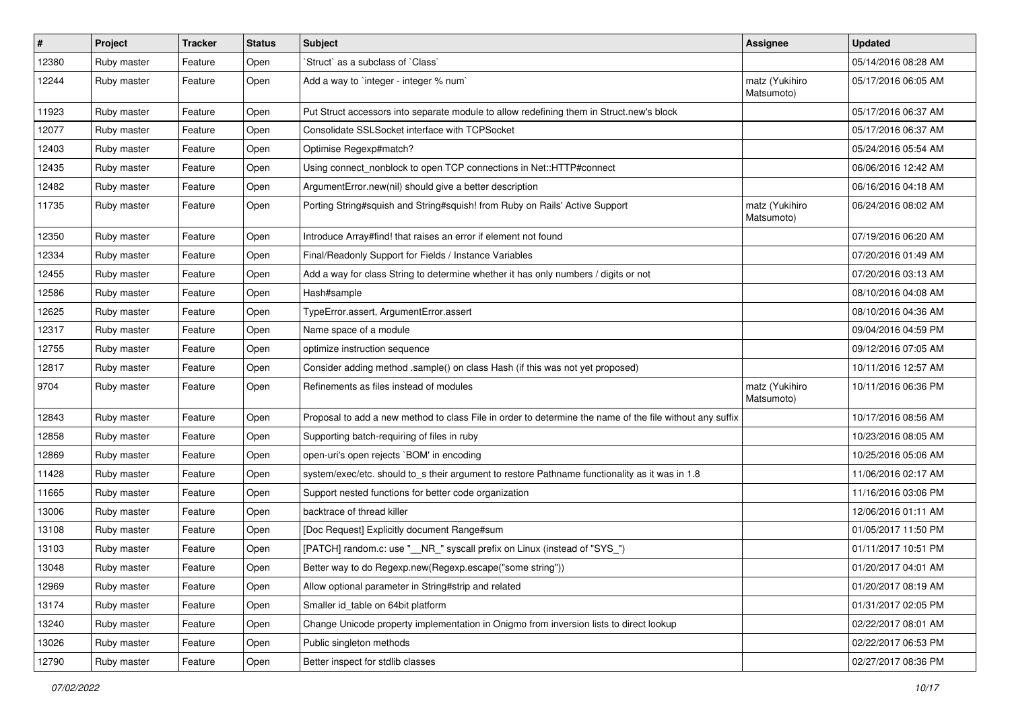| $\sharp$ | Project     | <b>Tracker</b> | <b>Status</b> | <b>Subject</b>                                                                                           | <b>Assignee</b>              | <b>Updated</b>      |
|----------|-------------|----------------|---------------|----------------------------------------------------------------------------------------------------------|------------------------------|---------------------|
| 12380    | Ruby master | Feature        | Open          | 'Struct' as a subclass of 'Class'                                                                        |                              | 05/14/2016 08:28 AM |
| 12244    | Ruby master | Feature        | Open          | Add a way to `integer - integer % num`                                                                   | matz (Yukihiro<br>Matsumoto) | 05/17/2016 06:05 AM |
| 11923    | Ruby master | Feature        | Open          | Put Struct accessors into separate module to allow redefining them in Struct.new's block                 |                              | 05/17/2016 06:37 AM |
| 12077    | Ruby master | Feature        | Open          | Consolidate SSLSocket interface with TCPSocket                                                           |                              | 05/17/2016 06:37 AM |
| 12403    | Ruby master | Feature        | Open          | Optimise Regexp#match?                                                                                   |                              | 05/24/2016 05:54 AM |
| 12435    | Ruby master | Feature        | Open          | Using connect_nonblock to open TCP connections in Net::HTTP#connect                                      |                              | 06/06/2016 12:42 AM |
| 12482    | Ruby master | Feature        | Open          | ArgumentError.new(nil) should give a better description                                                  |                              | 06/16/2016 04:18 AM |
| 11735    | Ruby master | Feature        | Open          | Porting String#squish and String#squish! from Ruby on Rails' Active Support                              | matz (Yukihiro<br>Matsumoto) | 06/24/2016 08:02 AM |
| 12350    | Ruby master | Feature        | Open          | Introduce Array#find! that raises an error if element not found                                          |                              | 07/19/2016 06:20 AM |
| 12334    | Ruby master | Feature        | Open          | Final/Readonly Support for Fields / Instance Variables                                                   |                              | 07/20/2016 01:49 AM |
| 12455    | Ruby master | Feature        | Open          | Add a way for class String to determine whether it has only numbers / digits or not                      |                              | 07/20/2016 03:13 AM |
| 12586    | Ruby master | Feature        | Open          | Hash#sample                                                                                              |                              | 08/10/2016 04:08 AM |
| 12625    | Ruby master | Feature        | Open          | TypeError.assert, ArgumentError.assert                                                                   |                              | 08/10/2016 04:36 AM |
| 12317    | Ruby master | Feature        | Open          | Name space of a module                                                                                   |                              | 09/04/2016 04:59 PM |
| 12755    | Ruby master | Feature        | Open          | optimize instruction sequence                                                                            |                              | 09/12/2016 07:05 AM |
| 12817    | Ruby master | Feature        | Open          | Consider adding method .sample() on class Hash (if this was not yet proposed)                            |                              | 10/11/2016 12:57 AM |
| 9704     | Ruby master | Feature        | Open          | Refinements as files instead of modules                                                                  | matz (Yukihiro<br>Matsumoto) | 10/11/2016 06:36 PM |
| 12843    | Ruby master | Feature        | Open          | Proposal to add a new method to class File in order to determine the name of the file without any suffix |                              | 10/17/2016 08:56 AM |
| 12858    | Ruby master | Feature        | Open          | Supporting batch-requiring of files in ruby                                                              |                              | 10/23/2016 08:05 AM |
| 12869    | Ruby master | Feature        | Open          | open-uri's open rejects `BOM' in encoding                                                                |                              | 10/25/2016 05:06 AM |
| 11428    | Ruby master | Feature        | Open          | system/exec/etc. should to_s their argument to restore Pathname functionality as it was in 1.8           |                              | 11/06/2016 02:17 AM |
| 11665    | Ruby master | Feature        | Open          | Support nested functions for better code organization                                                    |                              | 11/16/2016 03:06 PM |
| 13006    | Ruby master | Feature        | Open          | backtrace of thread killer                                                                               |                              | 12/06/2016 01:11 AM |
| 13108    | Ruby master | Feature        | Open          | [Doc Request] Explicitly document Range#sum                                                              |                              | 01/05/2017 11:50 PM |
| 13103    | Ruby master | Feature        | Open          | [PATCH] random.c: use "_NR_" syscall prefix on Linux (instead of "SYS_")                                 |                              | 01/11/2017 10:51 PM |
| 13048    | Ruby master | Feature        | Open          | Better way to do Regexp.new(Regexp.escape("some string"))                                                |                              | 01/20/2017 04:01 AM |
| 12969    | Ruby master | Feature        | Open          | Allow optional parameter in String#strip and related                                                     |                              | 01/20/2017 08:19 AM |
| 13174    | Ruby master | Feature        | Open          | Smaller id_table on 64bit platform                                                                       |                              | 01/31/2017 02:05 PM |
| 13240    | Ruby master | Feature        | Open          | Change Unicode property implementation in Onigmo from inversion lists to direct lookup                   |                              | 02/22/2017 08:01 AM |
| 13026    | Ruby master | Feature        | Open          | Public singleton methods                                                                                 |                              | 02/22/2017 06:53 PM |
| 12790    | Ruby master | Feature        | Open          | Better inspect for stdlib classes                                                                        |                              | 02/27/2017 08:36 PM |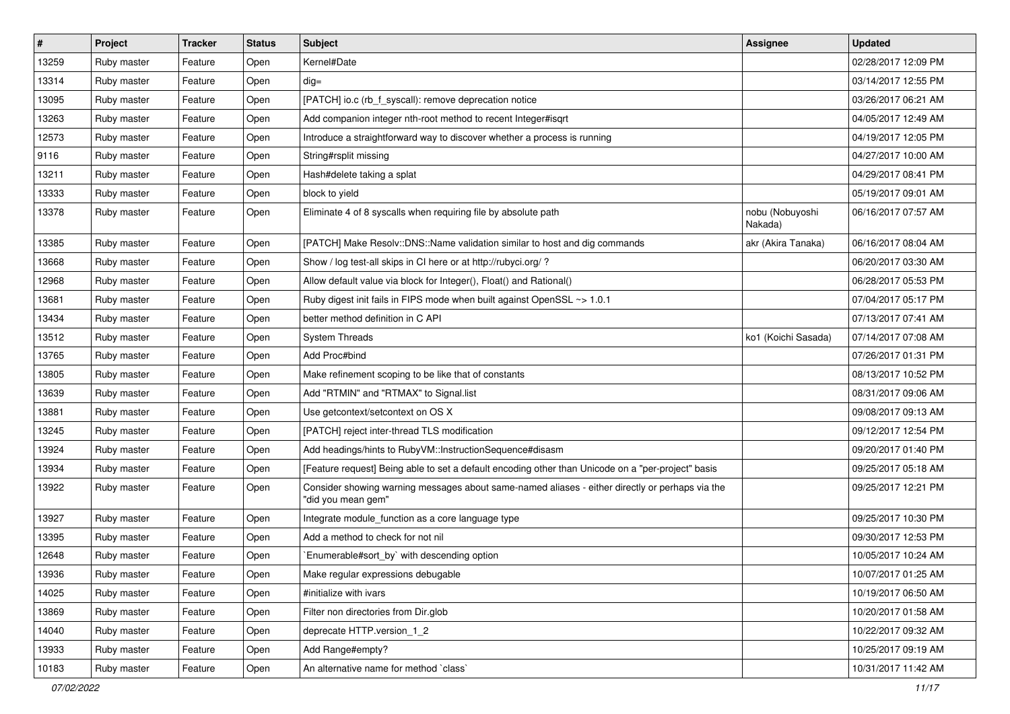| $\vert$ # | Project     | <b>Tracker</b> | <b>Status</b> | Subject                                                                                                               | <b>Assignee</b>            | <b>Updated</b>      |
|-----------|-------------|----------------|---------------|-----------------------------------------------------------------------------------------------------------------------|----------------------------|---------------------|
| 13259     | Ruby master | Feature        | Open          | Kernel#Date                                                                                                           |                            | 02/28/2017 12:09 PM |
| 13314     | Ruby master | Feature        | Open          | $dig =$                                                                                                               |                            | 03/14/2017 12:55 PM |
| 13095     | Ruby master | Feature        | Open          | [PATCH] io.c (rb f syscall): remove deprecation notice                                                                |                            | 03/26/2017 06:21 AM |
| 13263     | Ruby master | Feature        | Open          | Add companion integer nth-root method to recent Integer#isqrt                                                         |                            | 04/05/2017 12:49 AM |
| 12573     | Ruby master | Feature        | Open          | Introduce a straightforward way to discover whether a process is running                                              |                            | 04/19/2017 12:05 PM |
| 9116      | Ruby master | Feature        | Open          | String#rsplit missing                                                                                                 |                            | 04/27/2017 10:00 AM |
| 13211     | Ruby master | Feature        | Open          | Hash#delete taking a splat                                                                                            |                            | 04/29/2017 08:41 PM |
| 13333     | Ruby master | Feature        | Open          | block to yield                                                                                                        |                            | 05/19/2017 09:01 AM |
| 13378     | Ruby master | Feature        | Open          | Eliminate 4 of 8 syscalls when requiring file by absolute path                                                        | nobu (Nobuyoshi<br>Nakada) | 06/16/2017 07:57 AM |
| 13385     | Ruby master | Feature        | Open          | [PATCH] Make Resolv::DNS::Name validation similar to host and dig commands                                            | akr (Akira Tanaka)         | 06/16/2017 08:04 AM |
| 13668     | Ruby master | Feature        | Open          | Show / log test-all skips in CI here or at http://rubyci.org/ ?                                                       |                            | 06/20/2017 03:30 AM |
| 12968     | Ruby master | Feature        | Open          | Allow default value via block for Integer(), Float() and Rational()                                                   |                            | 06/28/2017 05:53 PM |
| 13681     | Ruby master | Feature        | Open          | Ruby digest init fails in FIPS mode when built against OpenSSL ~> 1.0.1                                               |                            | 07/04/2017 05:17 PM |
| 13434     | Ruby master | Feature        | Open          | better method definition in C API                                                                                     |                            | 07/13/2017 07:41 AM |
| 13512     | Ruby master | Feature        | Open          | <b>System Threads</b>                                                                                                 | ko1 (Koichi Sasada)        | 07/14/2017 07:08 AM |
| 13765     | Ruby master | Feature        | Open          | Add Proc#bind                                                                                                         |                            | 07/26/2017 01:31 PM |
| 13805     | Ruby master | Feature        | Open          | Make refinement scoping to be like that of constants                                                                  |                            | 08/13/2017 10:52 PM |
| 13639     | Ruby master | Feature        | Open          | Add "RTMIN" and "RTMAX" to Signal.list                                                                                |                            | 08/31/2017 09:06 AM |
| 13881     | Ruby master | Feature        | Open          | Use getcontext/setcontext on OS X                                                                                     |                            | 09/08/2017 09:13 AM |
| 13245     | Ruby master | Feature        | Open          | [PATCH] reject inter-thread TLS modification                                                                          |                            | 09/12/2017 12:54 PM |
| 13924     | Ruby master | Feature        | Open          | Add headings/hints to RubyVM::InstructionSequence#disasm                                                              |                            | 09/20/2017 01:40 PM |
| 13934     | Ruby master | Feature        | Open          | [Feature request] Being able to set a default encoding other than Unicode on a "per-project" basis                    |                            | 09/25/2017 05:18 AM |
| 13922     | Ruby master | Feature        | Open          | Consider showing warning messages about same-named aliases - either directly or perhaps via the<br>"did you mean gem" |                            | 09/25/2017 12:21 PM |
| 13927     | Ruby master | Feature        | Open          | Integrate module_function as a core language type                                                                     |                            | 09/25/2017 10:30 PM |
| 13395     | Ruby master | Feature        | Open          | Add a method to check for not nil                                                                                     |                            | 09/30/2017 12:53 PM |
| 12648     | Ruby master | Feature        | Open          | `Enumerable#sort_by` with descending option                                                                           |                            | 10/05/2017 10:24 AM |
| 13936     | Ruby master | Feature        | Open          | Make regular expressions debugable                                                                                    |                            | 10/07/2017 01:25 AM |
| 14025     | Ruby master | Feature        | Open          | #initialize with ivars                                                                                                |                            | 10/19/2017 06:50 AM |
| 13869     | Ruby master | Feature        | Open          | Filter non directories from Dir.glob                                                                                  |                            | 10/20/2017 01:58 AM |
| 14040     | Ruby master | Feature        | Open          | deprecate HTTP.version 1 2                                                                                            |                            | 10/22/2017 09:32 AM |
| 13933     | Ruby master | Feature        | Open          | Add Range#empty?                                                                                                      |                            | 10/25/2017 09:19 AM |
| 10183     | Ruby master | Feature        | Open          | An alternative name for method `class`                                                                                |                            | 10/31/2017 11:42 AM |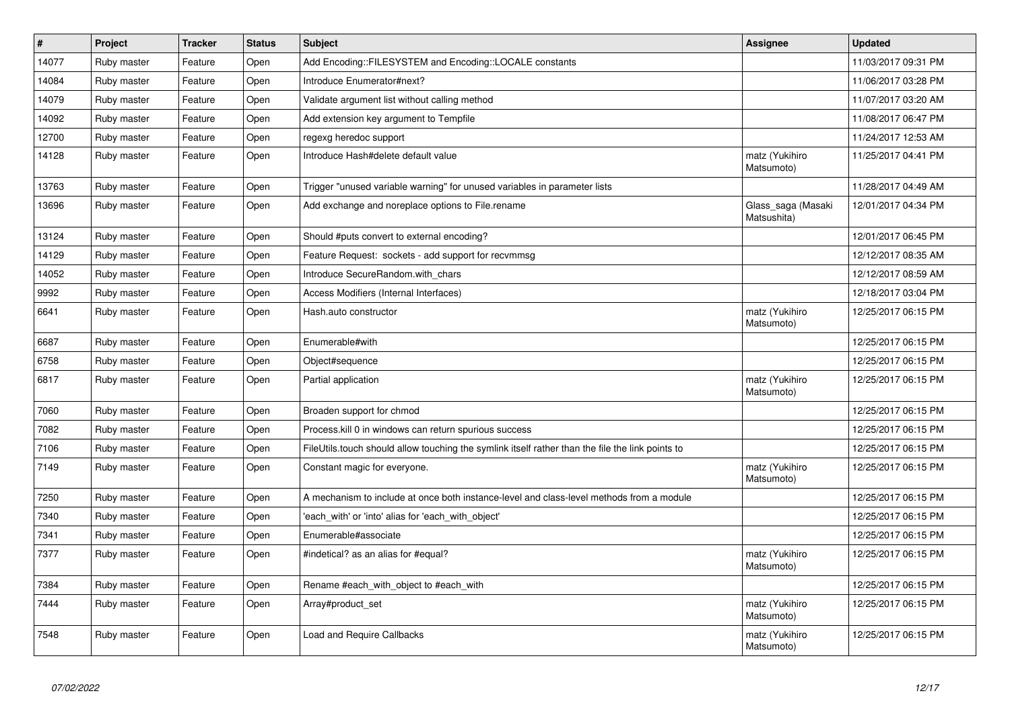| $\vert$ # | Project     | <b>Tracker</b> | <b>Status</b> | <b>Subject</b>                                                                                   | Assignee                          | <b>Updated</b>      |
|-----------|-------------|----------------|---------------|--------------------------------------------------------------------------------------------------|-----------------------------------|---------------------|
| 14077     | Ruby master | Feature        | Open          | Add Encoding::FILESYSTEM and Encoding::LOCALE constants                                          |                                   | 11/03/2017 09:31 PM |
| 14084     | Ruby master | Feature        | Open          | Introduce Enumerator#next?                                                                       |                                   | 11/06/2017 03:28 PM |
| 14079     | Ruby master | Feature        | Open          | Validate argument list without calling method                                                    |                                   | 11/07/2017 03:20 AM |
| 14092     | Ruby master | Feature        | Open          | Add extension key argument to Tempfile                                                           |                                   | 11/08/2017 06:47 PM |
| 12700     | Ruby master | Feature        | Open          | regexg heredoc support                                                                           |                                   | 11/24/2017 12:53 AM |
| 14128     | Ruby master | Feature        | Open          | Introduce Hash#delete default value                                                              | matz (Yukihiro<br>Matsumoto)      | 11/25/2017 04:41 PM |
| 13763     | Ruby master | Feature        | Open          | Trigger "unused variable warning" for unused variables in parameter lists                        |                                   | 11/28/2017 04:49 AM |
| 13696     | Ruby master | Feature        | Open          | Add exchange and noreplace options to File.rename                                                | Glass_saga (Masaki<br>Matsushita) | 12/01/2017 04:34 PM |
| 13124     | Ruby master | Feature        | Open          | Should #puts convert to external encoding?                                                       |                                   | 12/01/2017 06:45 PM |
| 14129     | Ruby master | Feature        | Open          | Feature Request: sockets - add support for recvmmsg                                              |                                   | 12/12/2017 08:35 AM |
| 14052     | Ruby master | Feature        | Open          | Introduce SecureRandom.with_chars                                                                |                                   | 12/12/2017 08:59 AM |
| 9992      | Ruby master | Feature        | Open          | Access Modifiers (Internal Interfaces)                                                           |                                   | 12/18/2017 03:04 PM |
| 6641      | Ruby master | Feature        | Open          | Hash.auto constructor                                                                            | matz (Yukihiro<br>Matsumoto)      | 12/25/2017 06:15 PM |
| 6687      | Ruby master | Feature        | Open          | Enumerable#with                                                                                  |                                   | 12/25/2017 06:15 PM |
| 6758      | Ruby master | Feature        | Open          | Object#sequence                                                                                  |                                   | 12/25/2017 06:15 PM |
| 6817      | Ruby master | Feature        | Open          | Partial application                                                                              | matz (Yukihiro<br>Matsumoto)      | 12/25/2017 06:15 PM |
| 7060      | Ruby master | Feature        | Open          | Broaden support for chmod                                                                        |                                   | 12/25/2017 06:15 PM |
| 7082      | Ruby master | Feature        | Open          | Process. kill 0 in windows can return spurious success                                           |                                   | 12/25/2017 06:15 PM |
| 7106      | Ruby master | Feature        | Open          | FileUtils.touch should allow touching the symlink itself rather than the file the link points to |                                   | 12/25/2017 06:15 PM |
| 7149      | Ruby master | Feature        | Open          | Constant magic for everyone.                                                                     | matz (Yukihiro<br>Matsumoto)      | 12/25/2017 06:15 PM |
| 7250      | Ruby master | Feature        | Open          | A mechanism to include at once both instance-level and class-level methods from a module         |                                   | 12/25/2017 06:15 PM |
| 7340      | Ruby master | Feature        | Open          | 'each with' or 'into' alias for 'each with object'                                               |                                   | 12/25/2017 06:15 PM |
| 7341      | Ruby master | Feature        | Open          | Enumerable#associate                                                                             |                                   | 12/25/2017 06:15 PM |
| 7377      | Ruby master | Feature        | Open          | #indetical? as an alias for #equal?                                                              | matz (Yukihiro<br>Matsumoto)      | 12/25/2017 06:15 PM |
| 7384      | Ruby master | Feature        | Open          | Rename #each_with_object to #each_with                                                           |                                   | 12/25/2017 06:15 PM |
| 7444      | Ruby master | Feature        | Open          | Array#product set                                                                                | matz (Yukihiro<br>Matsumoto)      | 12/25/2017 06:15 PM |
| 7548      | Ruby master | Feature        | Open          | Load and Require Callbacks                                                                       | matz (Yukihiro<br>Matsumoto)      | 12/25/2017 06:15 PM |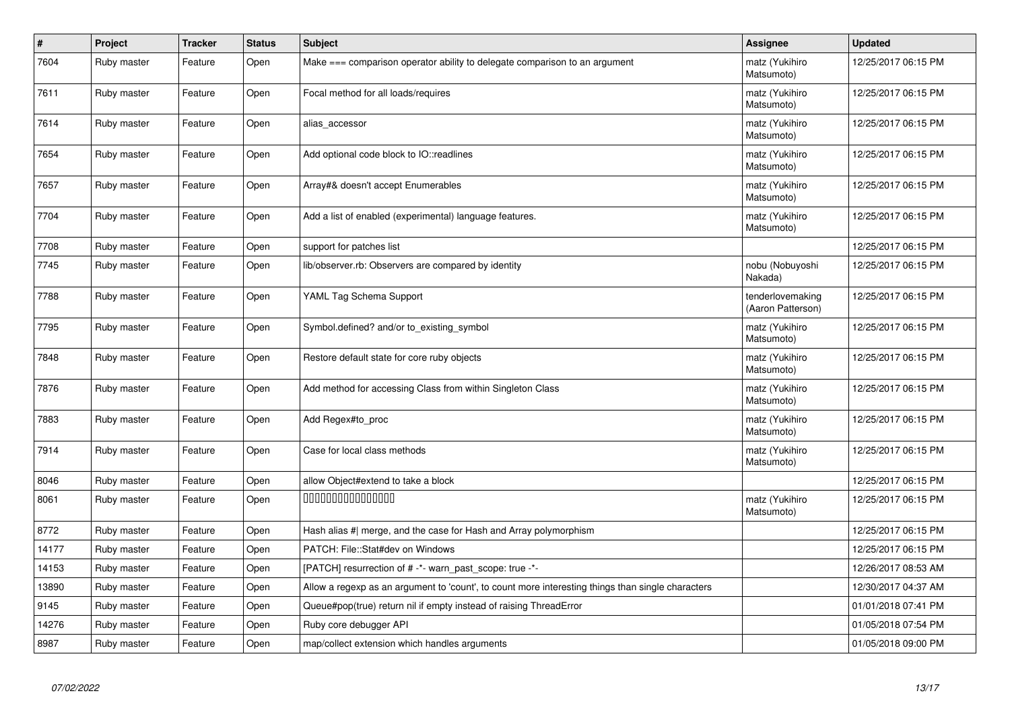| $\vert$ # | Project     | <b>Tracker</b> | <b>Status</b> | <b>Subject</b>                                                                                    | Assignee                              | <b>Updated</b>      |
|-----------|-------------|----------------|---------------|---------------------------------------------------------------------------------------------------|---------------------------------------|---------------------|
| 7604      | Ruby master | Feature        | Open          | Make === comparison operator ability to delegate comparison to an argument                        | matz (Yukihiro<br>Matsumoto)          | 12/25/2017 06:15 PM |
| 7611      | Ruby master | Feature        | Open          | Focal method for all loads/requires                                                               | matz (Yukihiro<br>Matsumoto)          | 12/25/2017 06:15 PM |
| 7614      | Ruby master | Feature        | Open          | alias_accessor                                                                                    | matz (Yukihiro<br>Matsumoto)          | 12/25/2017 06:15 PM |
| 7654      | Ruby master | Feature        | Open          | Add optional code block to IO::readlines                                                          | matz (Yukihiro<br>Matsumoto)          | 12/25/2017 06:15 PM |
| 7657      | Ruby master | Feature        | Open          | Array#& doesn't accept Enumerables                                                                | matz (Yukihiro<br>Matsumoto)          | 12/25/2017 06:15 PM |
| 7704      | Ruby master | Feature        | Open          | Add a list of enabled (experimental) language features.                                           | matz (Yukihiro<br>Matsumoto)          | 12/25/2017 06:15 PM |
| 7708      | Ruby master | Feature        | Open          | support for patches list                                                                          |                                       | 12/25/2017 06:15 PM |
| 7745      | Ruby master | Feature        | Open          | lib/observer.rb: Observers are compared by identity                                               | nobu (Nobuyoshi<br>Nakada)            | 12/25/2017 06:15 PM |
| 7788      | Ruby master | Feature        | Open          | YAML Tag Schema Support                                                                           | tenderlovemaking<br>(Aaron Patterson) | 12/25/2017 06:15 PM |
| 7795      | Ruby master | Feature        | Open          | Symbol.defined? and/or to_existing_symbol                                                         | matz (Yukihiro<br>Matsumoto)          | 12/25/2017 06:15 PM |
| 7848      | Ruby master | Feature        | Open          | Restore default state for core ruby objects                                                       | matz (Yukihiro<br>Matsumoto)          | 12/25/2017 06:15 PM |
| 7876      | Ruby master | Feature        | Open          | Add method for accessing Class from within Singleton Class                                        | matz (Yukihiro<br>Matsumoto)          | 12/25/2017 06:15 PM |
| 7883      | Ruby master | Feature        | Open          | Add Regex#to proc                                                                                 | matz (Yukihiro<br>Matsumoto)          | 12/25/2017 06:15 PM |
| 7914      | Ruby master | Feature        | Open          | Case for local class methods                                                                      | matz (Yukihiro<br>Matsumoto)          | 12/25/2017 06:15 PM |
| 8046      | Ruby master | Feature        | Open          | allow Object#extend to take a block                                                               |                                       | 12/25/2017 06:15 PM |
| 8061      | Ruby master | Feature        | Open          | 000000000000000                                                                                   | matz (Yukihiro<br>Matsumoto)          | 12/25/2017 06:15 PM |
| 8772      | Ruby master | Feature        | Open          | Hash alias #  merge, and the case for Hash and Array polymorphism                                 |                                       | 12/25/2017 06:15 PM |
| 14177     | Ruby master | Feature        | Open          | PATCH: File::Stat#dev on Windows                                                                  |                                       | 12/25/2017 06:15 PM |
| 14153     | Ruby master | Feature        | Open          | [PATCH] resurrection of # -*- warn_past_scope: true -*-                                           |                                       | 12/26/2017 08:53 AM |
| 13890     | Ruby master | Feature        | Open          | Allow a regexp as an argument to 'count', to count more interesting things than single characters |                                       | 12/30/2017 04:37 AM |
| 9145      | Ruby master | Feature        | Open          | Queue#pop(true) return nil if empty instead of raising ThreadError                                |                                       | 01/01/2018 07:41 PM |
| 14276     | Ruby master | Feature        | Open          | Ruby core debugger API                                                                            |                                       | 01/05/2018 07:54 PM |
| 8987      | Ruby master | Feature        | Open          | map/collect extension which handles arguments                                                     |                                       | 01/05/2018 09:00 PM |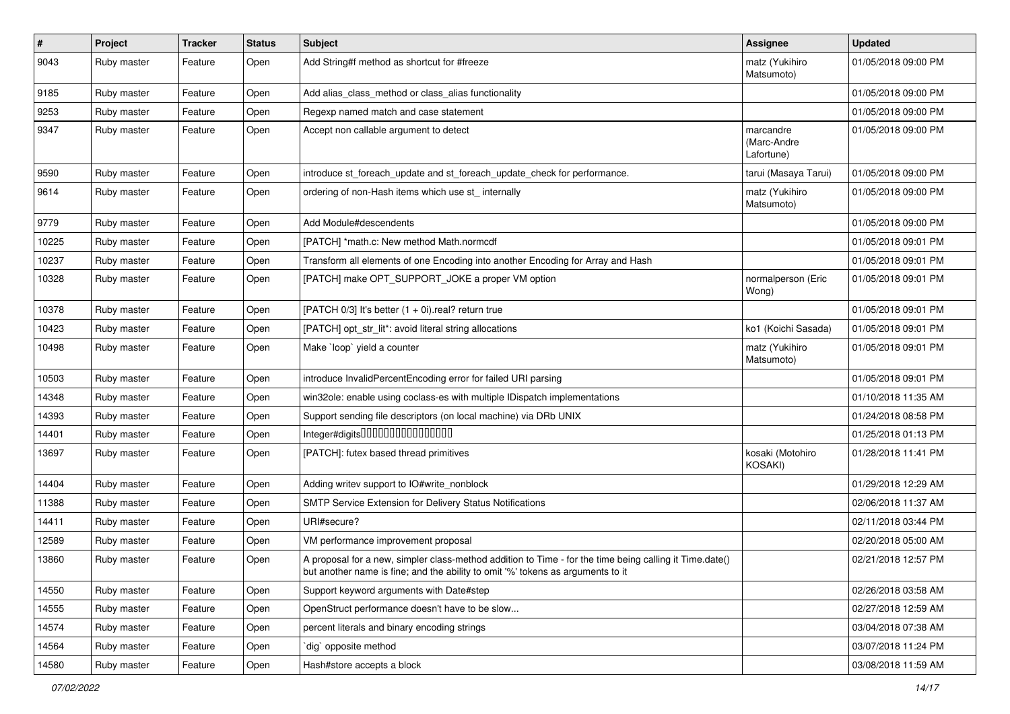| $\vert$ # | Project     | <b>Tracker</b> | <b>Status</b> | <b>Subject</b>                                                                                                                                                                             | Assignee                               | <b>Updated</b>      |
|-----------|-------------|----------------|---------------|--------------------------------------------------------------------------------------------------------------------------------------------------------------------------------------------|----------------------------------------|---------------------|
| 9043      | Ruby master | Feature        | Open          | Add String#f method as shortcut for #freeze                                                                                                                                                | matz (Yukihiro<br>Matsumoto)           | 01/05/2018 09:00 PM |
| 9185      | Ruby master | Feature        | Open          | Add alias_class_method or class_alias functionality                                                                                                                                        |                                        | 01/05/2018 09:00 PM |
| 9253      | Ruby master | Feature        | Open          | Regexp named match and case statement                                                                                                                                                      |                                        | 01/05/2018 09:00 PM |
| 9347      | Ruby master | Feature        | Open          | Accept non callable argument to detect                                                                                                                                                     | marcandre<br>(Marc-Andre<br>Lafortune) | 01/05/2018 09:00 PM |
| 9590      | Ruby master | Feature        | Open          | introduce st_foreach_update and st_foreach_update_check for performance.                                                                                                                   | tarui (Masaya Tarui)                   | 01/05/2018 09:00 PM |
| 9614      | Ruby master | Feature        | Open          | ordering of non-Hash items which use st_ internally                                                                                                                                        | matz (Yukihiro<br>Matsumoto)           | 01/05/2018 09:00 PM |
| 9779      | Ruby master | Feature        | Open          | Add Module#descendents                                                                                                                                                                     |                                        | 01/05/2018 09:00 PM |
| 10225     | Ruby master | Feature        | Open          | [PATCH] *math.c: New method Math.normcdf                                                                                                                                                   |                                        | 01/05/2018 09:01 PM |
| 10237     | Ruby master | Feature        | Open          | Transform all elements of one Encoding into another Encoding for Array and Hash                                                                                                            |                                        | 01/05/2018 09:01 PM |
| 10328     | Ruby master | Feature        | Open          | [PATCH] make OPT_SUPPORT_JOKE a proper VM option                                                                                                                                           | normalperson (Eric<br>Wong)            | 01/05/2018 09:01 PM |
| 10378     | Ruby master | Feature        | Open          | [PATCH $0/3$ ] It's better $(1 + 0i)$ real? return true                                                                                                                                    |                                        | 01/05/2018 09:01 PM |
| 10423     | Ruby master | Feature        | Open          | [PATCH] opt_str_lit*: avoid literal string allocations                                                                                                                                     | ko1 (Koichi Sasada)                    | 01/05/2018 09:01 PM |
| 10498     | Ruby master | Feature        | Open          | Make `loop` yield a counter                                                                                                                                                                | matz (Yukihiro<br>Matsumoto)           | 01/05/2018 09:01 PM |
| 10503     | Ruby master | Feature        | Open          | introduce InvalidPercentEncoding error for failed URI parsing                                                                                                                              |                                        | 01/05/2018 09:01 PM |
| 14348     | Ruby master | Feature        | Open          | win32ole: enable using coclass-es with multiple IDispatch implementations                                                                                                                  |                                        | 01/10/2018 11:35 AM |
| 14393     | Ruby master | Feature        | Open          | Support sending file descriptors (on local machine) via DRb UNIX                                                                                                                           |                                        | 01/24/2018 08:58 PM |
| 14401     | Ruby master | Feature        | Open          |                                                                                                                                                                                            |                                        | 01/25/2018 01:13 PM |
| 13697     | Ruby master | Feature        | Open          | [PATCH]: futex based thread primitives                                                                                                                                                     | kosaki (Motohiro<br>KOSAKI)            | 01/28/2018 11:41 PM |
| 14404     | Ruby master | Feature        | Open          | Adding writev support to IO#write_nonblock                                                                                                                                                 |                                        | 01/29/2018 12:29 AM |
| 11388     | Ruby master | Feature        | Open          | SMTP Service Extension for Delivery Status Notifications                                                                                                                                   |                                        | 02/06/2018 11:37 AM |
| 14411     | Ruby master | Feature        | Open          | URI#secure?                                                                                                                                                                                |                                        | 02/11/2018 03:44 PM |
| 12589     | Ruby master | Feature        | Open          | VM performance improvement proposal                                                                                                                                                        |                                        | 02/20/2018 05:00 AM |
| 13860     | Ruby master | Feature        | Open          | A proposal for a new, simpler class-method addition to Time - for the time being calling it Time.date()<br>but another name is fine; and the ability to omit '%' tokens as arguments to it |                                        | 02/21/2018 12:57 PM |
| 14550     | Ruby master | Feature        | Open          | Support keyword arguments with Date#step                                                                                                                                                   |                                        | 02/26/2018 03:58 AM |
| 14555     | Ruby master | Feature        | Open          | OpenStruct performance doesn't have to be slow                                                                                                                                             |                                        | 02/27/2018 12:59 AM |
| 14574     | Ruby master | Feature        | Open          | percent literals and binary encoding strings                                                                                                                                               |                                        | 03/04/2018 07:38 AM |
| 14564     | Ruby master | Feature        | Open          | dig opposite method                                                                                                                                                                        |                                        | 03/07/2018 11:24 PM |
| 14580     | Ruby master | Feature        | Open          | Hash#store accepts a block                                                                                                                                                                 |                                        | 03/08/2018 11:59 AM |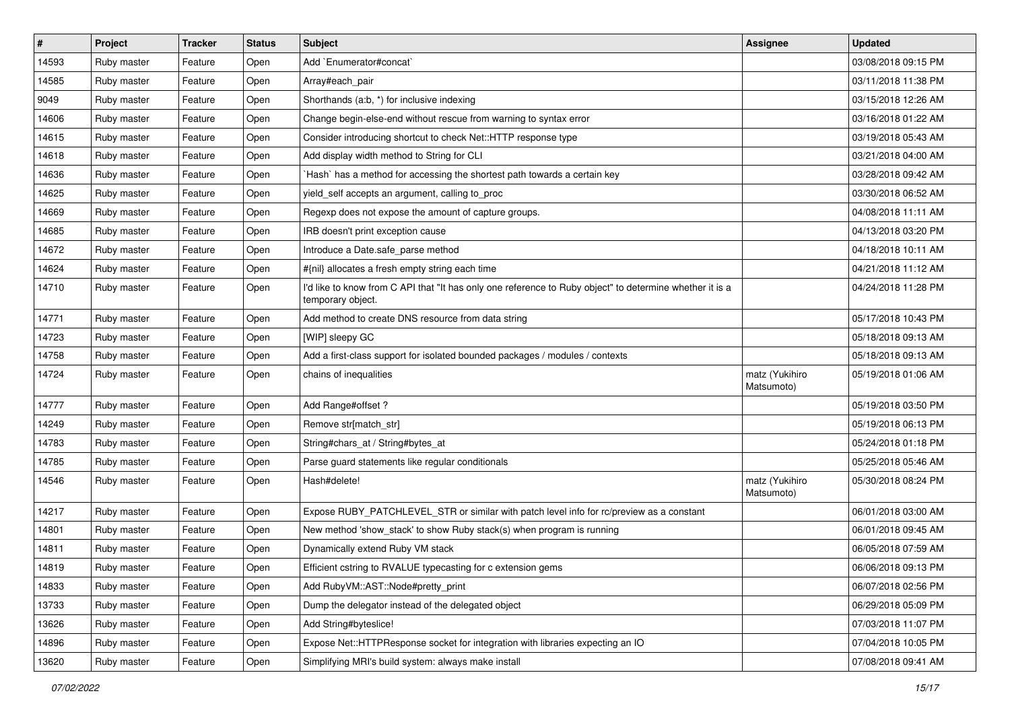| #     | Project     | <b>Tracker</b> | <b>Status</b> | Subject                                                                                                                       | <b>Assignee</b>              | <b>Updated</b>      |
|-------|-------------|----------------|---------------|-------------------------------------------------------------------------------------------------------------------------------|------------------------------|---------------------|
| 14593 | Ruby master | Feature        | Open          | Add `Enumerator#concat`                                                                                                       |                              | 03/08/2018 09:15 PM |
| 14585 | Ruby master | Feature        | Open          | Array#each_pair                                                                                                               |                              | 03/11/2018 11:38 PM |
| 9049  | Ruby master | Feature        | Open          | Shorthands (a:b, *) for inclusive indexing                                                                                    |                              | 03/15/2018 12:26 AM |
| 14606 | Ruby master | Feature        | Open          | Change begin-else-end without rescue from warning to syntax error                                                             |                              | 03/16/2018 01:22 AM |
| 14615 | Ruby master | Feature        | Open          | Consider introducing shortcut to check Net:: HTTP response type                                                               |                              | 03/19/2018 05:43 AM |
| 14618 | Ruby master | Feature        | Open          | Add display width method to String for CLI                                                                                    |                              | 03/21/2018 04:00 AM |
| 14636 | Ruby master | Feature        | Open          | 'Hash' has a method for accessing the shortest path towards a certain key                                                     |                              | 03/28/2018 09:42 AM |
| 14625 | Ruby master | Feature        | Open          | yield_self accepts an argument, calling to_proc                                                                               |                              | 03/30/2018 06:52 AM |
| 14669 | Ruby master | Feature        | Open          | Regexp does not expose the amount of capture groups.                                                                          |                              | 04/08/2018 11:11 AM |
| 14685 | Ruby master | Feature        | Open          | IRB doesn't print exception cause                                                                                             |                              | 04/13/2018 03:20 PM |
| 14672 | Ruby master | Feature        | Open          | Introduce a Date.safe_parse method                                                                                            |                              | 04/18/2018 10:11 AM |
| 14624 | Ruby master | Feature        | Open          | #{nil} allocates a fresh empty string each time                                                                               |                              | 04/21/2018 11:12 AM |
| 14710 | Ruby master | Feature        | Open          | I'd like to know from C API that "It has only one reference to Ruby object" to determine whether it is a<br>temporary object. |                              | 04/24/2018 11:28 PM |
| 14771 | Ruby master | Feature        | Open          | Add method to create DNS resource from data string                                                                            |                              | 05/17/2018 10:43 PM |
| 14723 | Ruby master | Feature        | Open          | [WIP] sleepy GC                                                                                                               |                              | 05/18/2018 09:13 AM |
| 14758 | Ruby master | Feature        | Open          | Add a first-class support for isolated bounded packages / modules / contexts                                                  |                              | 05/18/2018 09:13 AM |
| 14724 | Ruby master | Feature        | Open          | chains of inequalities                                                                                                        | matz (Yukihiro<br>Matsumoto) | 05/19/2018 01:06 AM |
| 14777 | Ruby master | Feature        | Open          | Add Range#offset?                                                                                                             |                              | 05/19/2018 03:50 PM |
| 14249 | Ruby master | Feature        | Open          | Remove str[match_str]                                                                                                         |                              | 05/19/2018 06:13 PM |
| 14783 | Ruby master | Feature        | Open          | String#chars_at / String#bytes_at                                                                                             |                              | 05/24/2018 01:18 PM |
| 14785 | Ruby master | Feature        | Open          | Parse guard statements like regular conditionals                                                                              |                              | 05/25/2018 05:46 AM |
| 14546 | Ruby master | Feature        | Open          | Hash#delete!                                                                                                                  | matz (Yukihiro<br>Matsumoto) | 05/30/2018 08:24 PM |
| 14217 | Ruby master | Feature        | Open          | Expose RUBY_PATCHLEVEL_STR or similar with patch level info for rc/preview as a constant                                      |                              | 06/01/2018 03:00 AM |
| 14801 | Ruby master | Feature        | Open          | New method 'show_stack' to show Ruby stack(s) when program is running                                                         |                              | 06/01/2018 09:45 AM |
| 14811 | Ruby master | Feature        | Open          | Dynamically extend Ruby VM stack                                                                                              |                              | 06/05/2018 07:59 AM |
| 14819 | Ruby master | Feature        | Open          | Efficient cstring to RVALUE typecasting for c extension gems                                                                  |                              | 06/06/2018 09:13 PM |
| 14833 | Ruby master | Feature        | Open          | Add RubyVM::AST::Node#pretty_print                                                                                            |                              | 06/07/2018 02:56 PM |
| 13733 | Ruby master | Feature        | Open          | Dump the delegator instead of the delegated object                                                                            |                              | 06/29/2018 05:09 PM |
| 13626 | Ruby master | Feature        | Open          | Add String#byteslice!                                                                                                         |                              | 07/03/2018 11:07 PM |
| 14896 | Ruby master | Feature        | Open          | Expose Net::HTTPResponse socket for integration with libraries expecting an IO                                                |                              | 07/04/2018 10:05 PM |
| 13620 | Ruby master | Feature        | Open          | Simplifying MRI's build system: always make install                                                                           |                              | 07/08/2018 09:41 AM |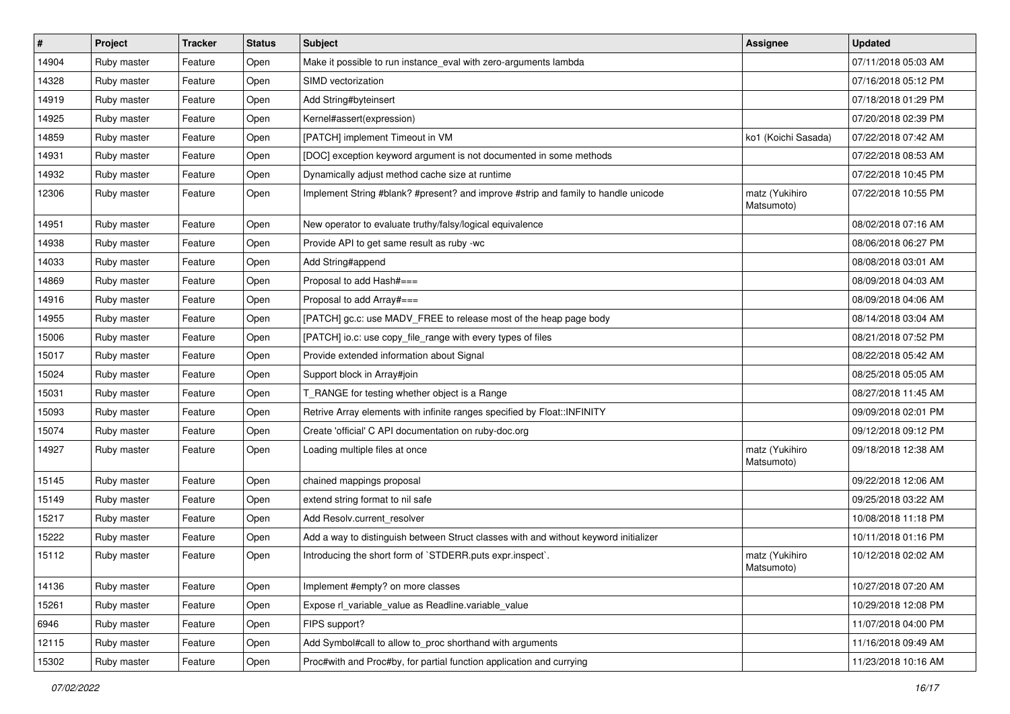| $\vert$ # | Project     | <b>Tracker</b> | <b>Status</b> | Subject                                                                              | Assignee                     | <b>Updated</b>      |
|-----------|-------------|----------------|---------------|--------------------------------------------------------------------------------------|------------------------------|---------------------|
| 14904     | Ruby master | Feature        | Open          | Make it possible to run instance_eval with zero-arguments lambda                     |                              | 07/11/2018 05:03 AM |
| 14328     | Ruby master | Feature        | Open          | SIMD vectorization                                                                   |                              | 07/16/2018 05:12 PM |
| 14919     | Ruby master | Feature        | Open          | Add String#byteinsert                                                                |                              | 07/18/2018 01:29 PM |
| 14925     | Ruby master | Feature        | Open          | Kernel#assert(expression)                                                            |                              | 07/20/2018 02:39 PM |
| 14859     | Ruby master | Feature        | Open          | [PATCH] implement Timeout in VM                                                      | ko1 (Koichi Sasada)          | 07/22/2018 07:42 AM |
| 14931     | Ruby master | Feature        | Open          | [DOC] exception keyword argument is not documented in some methods                   |                              | 07/22/2018 08:53 AM |
| 14932     | Ruby master | Feature        | Open          | Dynamically adjust method cache size at runtime                                      |                              | 07/22/2018 10:45 PM |
| 12306     | Ruby master | Feature        | Open          | Implement String #blank? #present? and improve #strip and family to handle unicode   | matz (Yukihiro<br>Matsumoto) | 07/22/2018 10:55 PM |
| 14951     | Ruby master | Feature        | Open          | New operator to evaluate truthy/falsy/logical equivalence                            |                              | 08/02/2018 07:16 AM |
| 14938     | Ruby master | Feature        | Open          | Provide API to get same result as ruby -wc                                           |                              | 08/06/2018 06:27 PM |
| 14033     | Ruby master | Feature        | Open          | Add String#append                                                                    |                              | 08/08/2018 03:01 AM |
| 14869     | Ruby master | Feature        | Open          | Proposal to add Hash#===                                                             |                              | 08/09/2018 04:03 AM |
| 14916     | Ruby master | Feature        | Open          | Proposal to add Array#===                                                            |                              | 08/09/2018 04:06 AM |
| 14955     | Ruby master | Feature        | Open          | [PATCH] gc.c: use MADV_FREE to release most of the heap page body                    |                              | 08/14/2018 03:04 AM |
| 15006     | Ruby master | Feature        | Open          | [PATCH] io.c: use copy_file_range with every types of files                          |                              | 08/21/2018 07:52 PM |
| 15017     | Ruby master | Feature        | Open          | Provide extended information about Signal                                            |                              | 08/22/2018 05:42 AM |
| 15024     | Ruby master | Feature        | Open          | Support block in Array#join                                                          |                              | 08/25/2018 05:05 AM |
| 15031     | Ruby master | Feature        | Open          | T_RANGE for testing whether object is a Range                                        |                              | 08/27/2018 11:45 AM |
| 15093     | Ruby master | Feature        | Open          | Retrive Array elements with infinite ranges specified by Float::INFINITY             |                              | 09/09/2018 02:01 PM |
| 15074     | Ruby master | Feature        | Open          | Create 'official' C API documentation on ruby-doc.org                                |                              | 09/12/2018 09:12 PM |
| 14927     | Ruby master | Feature        | Open          | Loading multiple files at once                                                       | matz (Yukihiro<br>Matsumoto) | 09/18/2018 12:38 AM |
| 15145     | Ruby master | Feature        | Open          | chained mappings proposal                                                            |                              | 09/22/2018 12:06 AM |
| 15149     | Ruby master | Feature        | Open          | extend string format to nil safe                                                     |                              | 09/25/2018 03:22 AM |
| 15217     | Ruby master | Feature        | Open          | Add Resolv.current_resolver                                                          |                              | 10/08/2018 11:18 PM |
| 15222     | Ruby master | Feature        | Open          | Add a way to distinguish between Struct classes with and without keyword initializer |                              | 10/11/2018 01:16 PM |
| 15112     | Ruby master | Feature        | Open          | Introducing the short form of `STDERR.puts expr.inspect`.                            | matz (Yukihiro<br>Matsumoto) | 10/12/2018 02:02 AM |
| 14136     | Ruby master | Feature        | Open          | Implement #empty? on more classes                                                    |                              | 10/27/2018 07:20 AM |
| 15261     | Ruby master | Feature        | Open          | Expose rl_variable_value as Readline.variable_value                                  |                              | 10/29/2018 12:08 PM |
| 6946      | Ruby master | Feature        | Open          | FIPS support?                                                                        |                              | 11/07/2018 04:00 PM |
| 12115     | Ruby master | Feature        | Open          | Add Symbol#call to allow to_proc shorthand with arguments                            |                              | 11/16/2018 09:49 AM |
| 15302     | Ruby master | Feature        | Open          | Proc#with and Proc#by, for partial function application and currying                 |                              | 11/23/2018 10:16 AM |